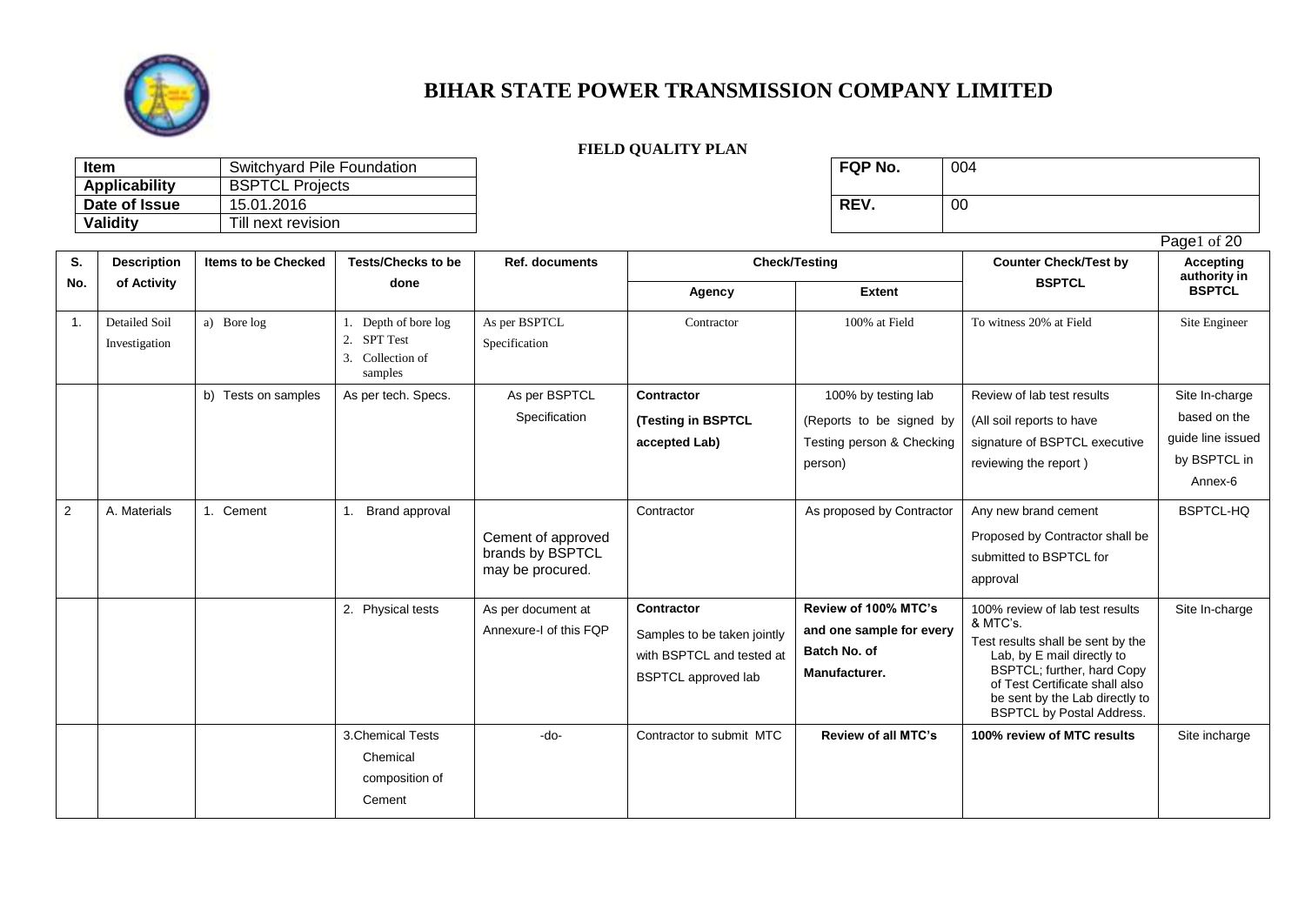

| ltem          | Switchyard Pile Foundation | <b>FQP No.</b> | 004 |
|---------------|----------------------------|----------------|-----|
| Applicability | <b>BSPTCL Projects</b>     |                |     |
| Date of Issue | 15.01.2016                 | REV.           | 00  |
| Validity      | Till next revision         |                |     |

| FQP No. | 004 |
|---------|-----|
| REV.    | 00  |

|                |                                       |                            |                                                                              |                                                            |                                                                                                      |                                                                                         | Page1 of 20                                                                                                                                                                                                                                          |                                                                                |
|----------------|---------------------------------------|----------------------------|------------------------------------------------------------------------------|------------------------------------------------------------|------------------------------------------------------------------------------------------------------|-----------------------------------------------------------------------------------------|------------------------------------------------------------------------------------------------------------------------------------------------------------------------------------------------------------------------------------------------------|--------------------------------------------------------------------------------|
| S.             | <b>Description</b>                    | <b>Items to be Checked</b> | <b>Tests/Checks to be</b>                                                    | <b>Ref. documents</b>                                      |                                                                                                      | <b>Check/Testing</b>                                                                    | <b>Counter Check/Test by</b>                                                                                                                                                                                                                         | <b>Accepting</b>                                                               |
| No.            | of Activity                           |                            | done                                                                         |                                                            | Agency                                                                                               | <b>Extent</b>                                                                           | <b>BSPTCL</b>                                                                                                                                                                                                                                        | authority in<br><b>BSPTCL</b>                                                  |
| $\mathbf{1}$ . | <b>Detailed Soil</b><br>Investigation | a) Bore log                | Depth of bore log<br>2.<br><b>SPT Test</b><br>3.<br>Collection of<br>samples | As per BSPTCL<br>Specification                             | Contractor                                                                                           | 100% at Field                                                                           | To witness 20% at Field                                                                                                                                                                                                                              | Site Engineer                                                                  |
|                |                                       | b) Tests on samples        | As per tech. Specs.                                                          | As per BSPTCL<br>Specification                             | Contractor<br>(Testing in BSPTCL<br>accepted Lab)                                                    | 100% by testing lab<br>(Reports to be signed by<br>Testing person & Checking<br>person) | Review of lab test results<br>(All soil reports to have<br>signature of BSPTCL executive<br>reviewing the report)                                                                                                                                    | Site In-charge<br>based on the<br>guide line issued<br>by BSPTCL in<br>Annex-6 |
| $\overline{2}$ | A. Materials                          | 1. Cement                  | Brand approval<br>1.                                                         | Cement of approved<br>brands by BSPTCL<br>may be procured. | Contractor                                                                                           | As proposed by Contractor                                                               | Any new brand cement<br>Proposed by Contractor shall be<br>submitted to BSPTCL for<br>approval                                                                                                                                                       | BSPTCL-HQ                                                                      |
|                |                                       |                            | 2. Physical tests                                                            | As per document at<br>Annexure-I of this FQP               | Contractor<br>Samples to be taken jointly<br>with BSPTCL and tested at<br><b>BSPTCL</b> approved lab | Review of 100% MTC's<br>and one sample for every<br>Batch No. of<br>Manufacturer.       | 100% review of lab test results<br>& MTC's.<br>Test results shall be sent by the<br>Lab, by E mail directly to<br>BSPTCL; further, hard Copy<br>of Test Certificate shall also<br>be sent by the Lab directly to<br><b>BSPTCL</b> by Postal Address. | Site In-charge                                                                 |
|                |                                       |                            | 3. Chemical Tests<br>Chemical<br>composition of<br>Cement                    | -do-                                                       | Contractor to submit MTC                                                                             | Review of all MTC's                                                                     | 100% review of MTC results                                                                                                                                                                                                                           | Site incharge                                                                  |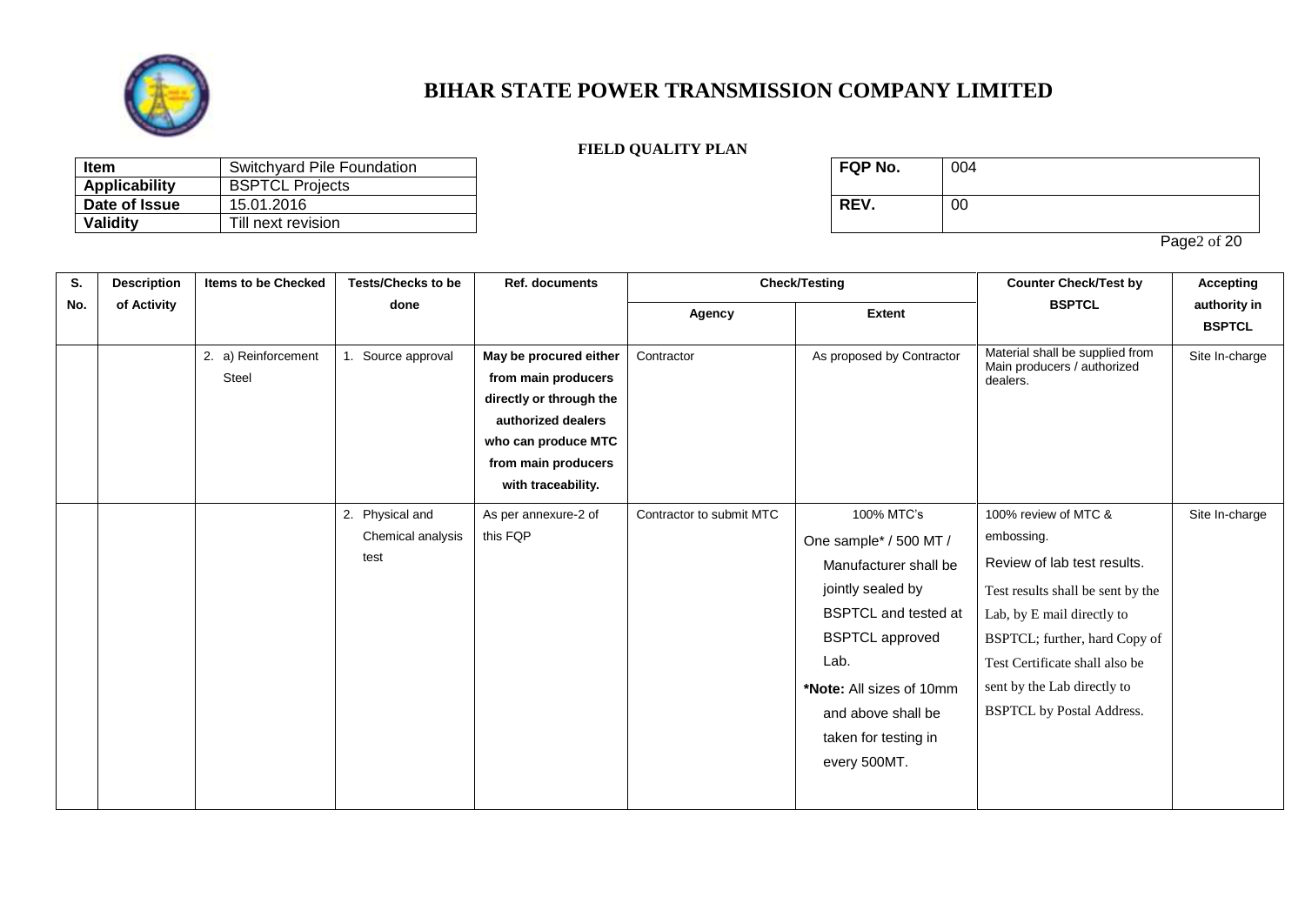

#### **FIELD QUALITY PLAN**

| Item                 | Switchyard Pile Foundation | <b>FQP No.</b> | 004 |
|----------------------|----------------------------|----------------|-----|
| <b>Applicability</b> | <b>BSPTCL Projects</b>     |                |     |
| Date of Issue        | 15.01.2016                 | REV.           | 00  |
| Validity             | Till next revision         |                |     |

| <b>FQP No.</b> | 004 |
|----------------|-----|
| REV.           | υu  |

Page2 of 20

| S.  | <b>Description</b> | <b>Items to be Checked</b>   | <b>Tests/Checks to be</b>                    | <b>Ref. documents</b>                                                                                                                                              |                          | <b>Check/Testing</b>                                                                                                                                                                                                                          | <b>Counter Check/Test by</b>                                                                                                                                                                                                                                               | <b>Accepting</b>              |  |
|-----|--------------------|------------------------------|----------------------------------------------|--------------------------------------------------------------------------------------------------------------------------------------------------------------------|--------------------------|-----------------------------------------------------------------------------------------------------------------------------------------------------------------------------------------------------------------------------------------------|----------------------------------------------------------------------------------------------------------------------------------------------------------------------------------------------------------------------------------------------------------------------------|-------------------------------|--|
| No. | of Activity        |                              | done                                         |                                                                                                                                                                    | Agency                   | <b>Extent</b>                                                                                                                                                                                                                                 | <b>BSPTCL</b>                                                                                                                                                                                                                                                              | authority in<br><b>BSPTCL</b> |  |
|     |                    | 2. a) Reinforcement<br>Steel | 1. Source approval                           | May be procured either<br>from main producers<br>directly or through the<br>authorized dealers<br>who can produce MTC<br>from main producers<br>with traceability. | Contractor               | As proposed by Contractor                                                                                                                                                                                                                     | Material shall be supplied from<br>Main producers / authorized<br>dealers.                                                                                                                                                                                                 | Site In-charge                |  |
|     |                    |                              | 2. Physical and<br>Chemical analysis<br>test | As per annexure-2 of<br>this FQP                                                                                                                                   | Contractor to submit MTC | 100% MTC's<br>One sample* / 500 MT /<br>Manufacturer shall be<br>jointly sealed by<br><b>BSPTCL</b> and tested at<br><b>BSPTCL</b> approved<br>Lab.<br>*Note: All sizes of 10mm<br>and above shall be<br>taken for testing in<br>every 500MT. | 100% review of MTC &<br>embossing.<br>Review of lab test results.<br>Test results shall be sent by the<br>Lab, by E mail directly to<br>BSPTCL; further, hard Copy of<br>Test Certificate shall also be<br>sent by the Lab directly to<br><b>BSPTCL</b> by Postal Address. | Site In-charge                |  |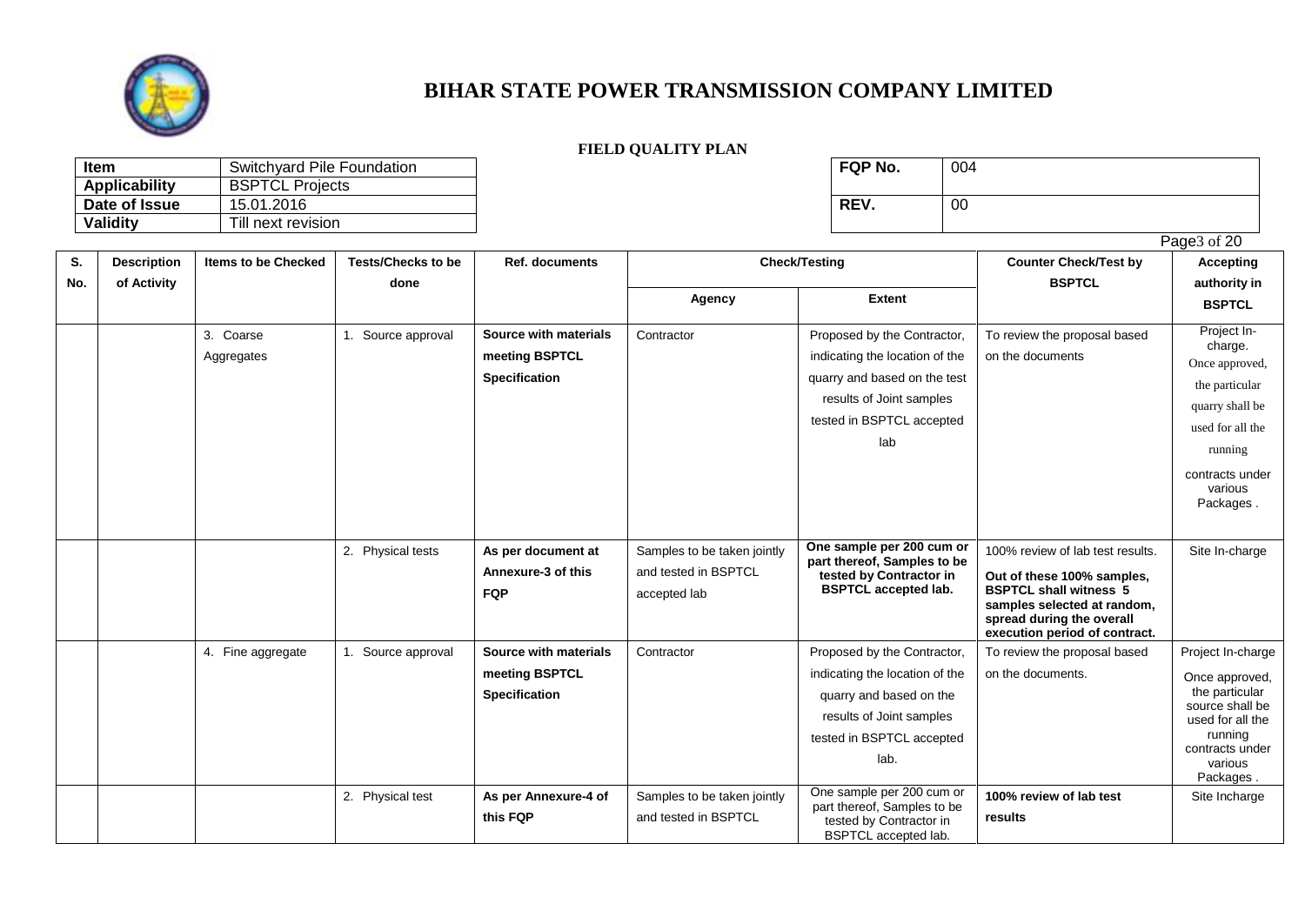

#### **FIELD QUALITY PLAN**

| ltem          | Switchyard Pile Foundation | <b>FQP No.</b> | 004 |
|---------------|----------------------------|----------------|-----|
| Applicability | <b>BSPTCL Projects</b>     |                |     |
| Date of Issue | 15.01.2016                 | REV.           | 00  |
| Validity      | Till next revision         |                |     |

| FQP No. | 004 |
|---------|-----|
| REV.    | 00  |

Page<sub>3</sub> of 20 **S. No. Description of Activity Items to be Checked Tests/Checks to be done Ref. documents Check/Testing Counter Check/Test by BSPTCL Accepting authority in BSPTCL Agency Extent** 3. Coarse **Aggregates** 1. Source approval **Source with materials meeting BSPTCL Specification** Contractor **Proposed by the Contractor,** indicating the location of the quarry and based on the test results of Joint samples tested in BSPTCL accepted lab To review the proposal based on the documents Project Incharge. Once approved, the particular quarry shall be used for all the running contracts under various Packages . 2. Physical tests **As per document at Annexure-3 of this FQP**  Samples to be taken jointly and tested in BSPTCL accepted lab **One sample per 200 cum or part thereof, Samples to be tested by Contractor in BSPTCL accepted lab.**  100% review of lab test results. **Out of these 100% samples, BSPTCL shall witness 5 samples selected at random, spread during the overall execution period of contract.**  Site In-charge 4. Fine aggregate 1. Source approval **Source with materials meeting BSPTCL Specification** Contractor **Proposed by the Contractor,** indicating the location of the quarry and based on the results of Joint samples tested in BSPTCL accepted lab. To review the proposal based on the documents. Project In-charge Once approved, the particular source shall be used for all the running contracts under various Packages . 2. Physical test **As per Annexure-4 of this FQP**  Samples to be taken jointly and tested in BSPTCL One sample per 200 cum or part thereof, Samples to be tested by Contractor in BSPTCL accepted lab. **100% review of lab test results** Site Incharge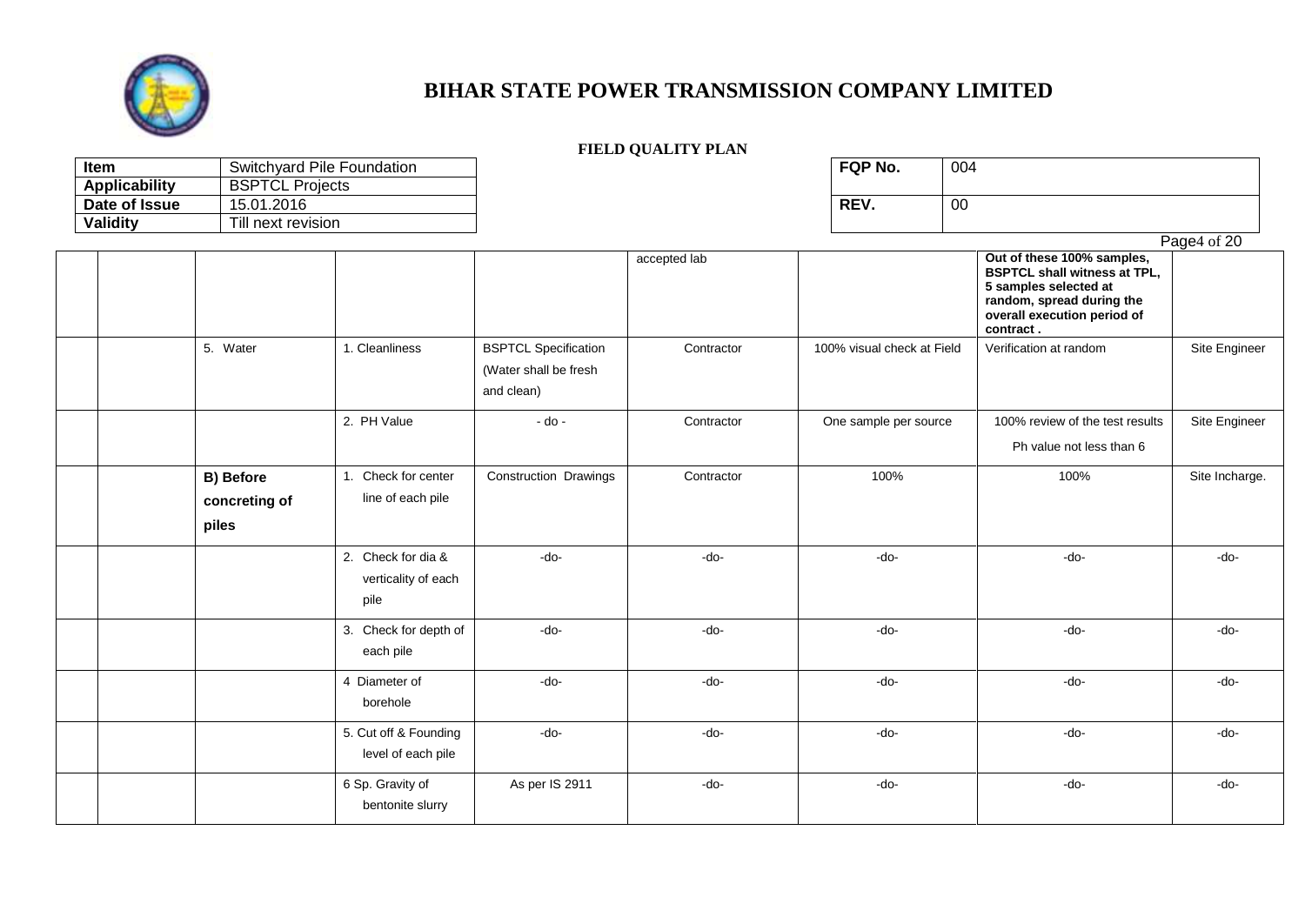

| <b>Item</b>   | Switchyard Pile Foundation | <b>FQP No.</b> | 004 |
|---------------|----------------------------|----------------|-----|
| Applicability | <b>BSPTCL Projects</b>     |                |     |
| Date of Issue | 15.01.2016                 | REV.           | -00 |
| Validity      | Till next revision         |                |     |

| FQP No. | 004                       |             |
|---------|---------------------------|-------------|
|         |                           |             |
|         |                           |             |
| REV.    | 00                        |             |
|         |                           |             |
|         |                           |             |
|         |                           | Page4 of 20 |
|         |                           |             |
|         | Out of those 100% camples |             |

|                                            |                                                   |                                                                    |              |                            |                                                                                                                                                                     | Page4 of 20    |
|--------------------------------------------|---------------------------------------------------|--------------------------------------------------------------------|--------------|----------------------------|---------------------------------------------------------------------------------------------------------------------------------------------------------------------|----------------|
|                                            |                                                   |                                                                    | accepted lab |                            | Out of these 100% samples,<br><b>BSPTCL shall witness at TPL,</b><br>5 samples selected at<br>random, spread during the<br>overall execution period of<br>contract. |                |
| 5. Water                                   | 1. Cleanliness                                    | <b>BSPTCL Specification</b><br>(Water shall be fresh<br>and clean) | Contractor   | 100% visual check at Field | Verification at random                                                                                                                                              | Site Engineer  |
|                                            | 2. PH Value                                       | $-$ do $-$                                                         | Contractor   | One sample per source      | 100% review of the test results<br>Ph value not less than 6                                                                                                         | Site Engineer  |
| <b>B)</b> Before<br>concreting of<br>piles | 1. Check for center<br>line of each pile          | <b>Construction Drawings</b>                                       | Contractor   | 100%                       | 100%                                                                                                                                                                | Site Incharge. |
|                                            | 2. Check for dia &<br>verticality of each<br>pile | $-do-$                                                             | $-do-$       | $-do-$                     | $-do-$                                                                                                                                                              | $-do-$         |
|                                            | 3. Check for depth of<br>each pile                | $-do-$                                                             | -do-         | $-do-$                     | $-do-$                                                                                                                                                              | $-do-$         |
|                                            | 4 Diameter of<br>borehole                         | $-do-$                                                             | $-do-$       | -do-                       | $-do-$                                                                                                                                                              | $-do-$         |
|                                            | 5. Cut off & Founding<br>level of each pile       | $-do-$                                                             | -do-         | $-do-$                     | $-do-$                                                                                                                                                              | $-do-$         |
|                                            | 6 Sp. Gravity of<br>bentonite slurry              | As per IS 2911                                                     | $-do-$       | -do-                       | -do-                                                                                                                                                                | -do-           |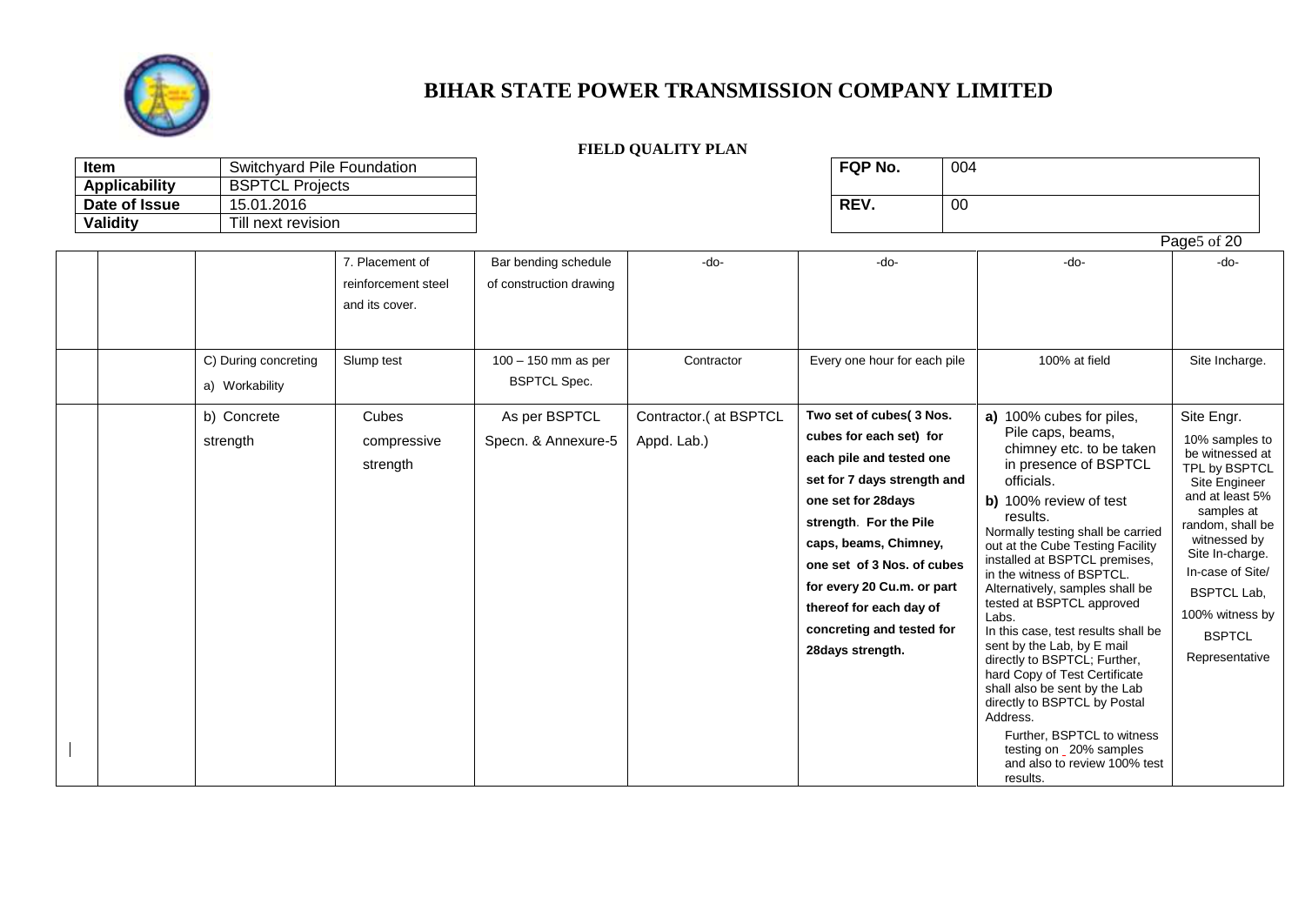

| <b>Item</b>   | Switchyard Pile Foundation | FQP No. | 004 |
|---------------|----------------------------|---------|-----|
| Applicability | <b>BSPTCL Projects</b>     |         |     |
| Date of Issue | 15.01.2016                 | REV.    | -00 |
| Validity      | Till next revision         |         |     |

| FQP No. | 004 |
|---------|-----|
| REV.    | 00  |

|                                        |                                                          |                                                 |                                       |                                                                                                                                                                                                                                                                                                                                |                                                                                                                                                                                                                                                                                                                                                                                                                                                                                                                                                                                                                                                                                               | Page5 of 20                                                                                                                                                                                                                                                               |
|----------------------------------------|----------------------------------------------------------|-------------------------------------------------|---------------------------------------|--------------------------------------------------------------------------------------------------------------------------------------------------------------------------------------------------------------------------------------------------------------------------------------------------------------------------------|-----------------------------------------------------------------------------------------------------------------------------------------------------------------------------------------------------------------------------------------------------------------------------------------------------------------------------------------------------------------------------------------------------------------------------------------------------------------------------------------------------------------------------------------------------------------------------------------------------------------------------------------------------------------------------------------------|---------------------------------------------------------------------------------------------------------------------------------------------------------------------------------------------------------------------------------------------------------------------------|
|                                        | 7. Placement of<br>reinforcement steel<br>and its cover. | Bar bending schedule<br>of construction drawing | $-do-$                                | $-do-$                                                                                                                                                                                                                                                                                                                         | -do-                                                                                                                                                                                                                                                                                                                                                                                                                                                                                                                                                                                                                                                                                          | $-do-$                                                                                                                                                                                                                                                                    |
| C) During concreting<br>a) Workability | Slump test                                               | $100 - 150$ mm as per<br><b>BSPTCL Spec.</b>    | Contractor                            | Every one hour for each pile                                                                                                                                                                                                                                                                                                   | 100% at field                                                                                                                                                                                                                                                                                                                                                                                                                                                                                                                                                                                                                                                                                 | Site Incharge.                                                                                                                                                                                                                                                            |
| b) Concrete<br>strength                | Cubes<br>compressive<br>strength                         | As per BSPTCL<br>Specn. & Annexure-5            | Contractor.( at BSPTCL<br>Appd. Lab.) | Two set of cubes(3 Nos.<br>cubes for each set) for<br>each pile and tested one<br>set for 7 days strength and<br>one set for 28days<br>strength. For the Pile<br>caps, beams, Chimney,<br>one set of 3 Nos. of cubes<br>for every 20 Cu.m. or part<br>thereof for each day of<br>concreting and tested for<br>28days strength. | a) 100% cubes for piles,<br>Pile caps, beams,<br>chimney etc. to be taken<br>in presence of BSPTCL<br>officials.<br>b) 100% review of test<br>results.<br>Normally testing shall be carried<br>out at the Cube Testing Facility<br>installed at BSPTCL premises,<br>in the witness of BSPTCL.<br>Alternatively, samples shall be<br>tested at BSPTCL approved<br>Labs.<br>In this case, test results shall be<br>sent by the Lab, by E mail<br>directly to BSPTCL; Further,<br>hard Copy of Test Certificate<br>shall also be sent by the Lab<br>directly to BSPTCL by Postal<br>Address.<br>Further, BSPTCL to witness<br>testing on 20% samples<br>and also to review 100% test<br>results. | Site Engr.<br>10% samples to<br>be witnessed at<br>TPL by BSPTCL<br>Site Engineer<br>and at least 5%<br>samples at<br>random, shall be<br>witnessed by<br>Site In-charge.<br>In-case of Site/<br><b>BSPTCL Lab,</b><br>100% witness by<br><b>BSPTCL</b><br>Representative |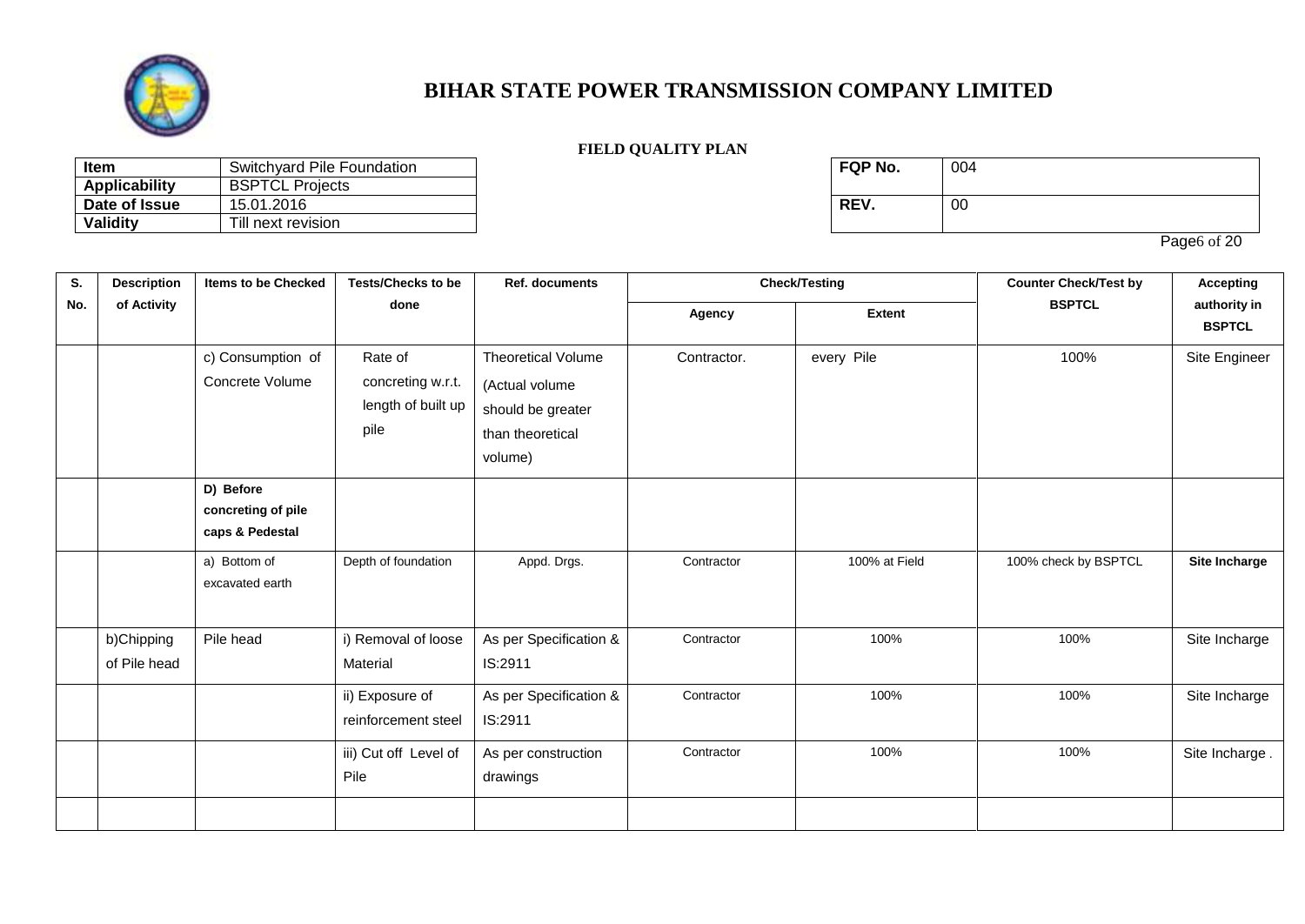

### **FIELD QUALITY PLAN**

| Item                 | Switchyard Pile Foundation | <b>FQP No.</b> | 004 |
|----------------------|----------------------------|----------------|-----|
| <b>Applicability</b> | <b>BSPTCL Projects</b>     |                |     |
| Date of Issue        | 15.01.2016                 | REV.           | 00  |
| Validity             | Till next revision         |                |     |

| FQP No. | 004 |
|---------|-----|
| REV.    | υu  |

Page6 of 20

| S.  | <b>Description</b>         | <b>Items to be Checked</b>                         | <b>Tests/Checks to be</b>                                  | <b>Ref. documents</b>                                                                           |             | <b>Check/Testing</b> |                      | <b>Accepting</b>              |  |
|-----|----------------------------|----------------------------------------------------|------------------------------------------------------------|-------------------------------------------------------------------------------------------------|-------------|----------------------|----------------------|-------------------------------|--|
| No. | of Activity                |                                                    | done                                                       |                                                                                                 | Agency      | <b>Extent</b>        | <b>BSPTCL</b>        | authority in<br><b>BSPTCL</b> |  |
|     |                            | c) Consumption of<br>Concrete Volume               | Rate of<br>concreting w.r.t.<br>length of built up<br>pile | <b>Theoretical Volume</b><br>(Actual volume<br>should be greater<br>than theoretical<br>volume) | Contractor. | every Pile           | 100%                 | Site Engineer                 |  |
|     |                            | D) Before<br>concreting of pile<br>caps & Pedestal |                                                            |                                                                                                 |             |                      |                      |                               |  |
|     |                            | a) Bottom of<br>excavated earth                    | Depth of foundation                                        | Appd. Drgs.                                                                                     | Contractor  | 100% at Field        | 100% check by BSPTCL | Site Incharge                 |  |
|     | b)Chipping<br>of Pile head | Pile head                                          | i) Removal of loose<br>Material                            | As per Specification &<br>IS:2911                                                               | Contractor  | 100%                 | 100%                 | Site Incharge                 |  |
|     |                            |                                                    | ii) Exposure of<br>reinforcement steel                     | As per Specification &<br>IS:2911                                                               | Contractor  | 100%                 | 100%                 | Site Incharge                 |  |
|     |                            |                                                    | iii) Cut off Level of<br>Pile                              | As per construction<br>drawings                                                                 | Contractor  | 100%                 | 100%                 | Site Incharge.                |  |
|     |                            |                                                    |                                                            |                                                                                                 |             |                      |                      |                               |  |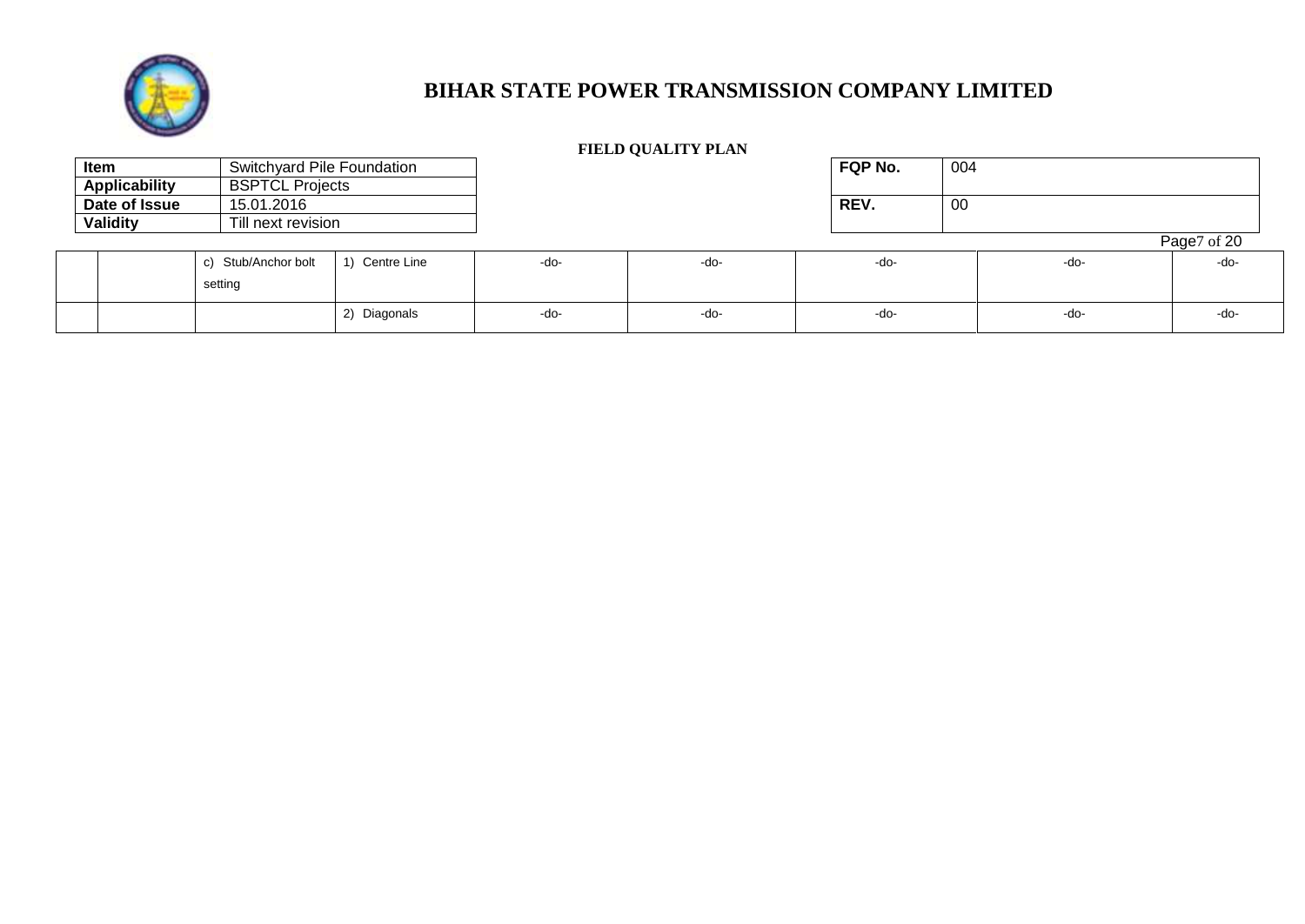

| Item<br>Switchyard Pile Foundation    |                        |                   |      | FQP No. | 004  |  |      |             |
|---------------------------------------|------------------------|-------------------|------|---------|------|--|------|-------------|
| <b>Applicability</b>                  | <b>BSPTCL Projects</b> |                   |      |         |      |  |      |             |
| Date of Issue<br>15.01.2016           |                        |                   |      | REV.    | 00   |  |      |             |
| Validity<br><b>Fill next revision</b> |                        |                   |      |         |      |  |      |             |
|                                       |                        |                   |      |         |      |  |      | Page7 of 20 |
|                                       | c) Stub/Anchor bolt    | Centre Line<br>1) | -do- | -do-    | -do- |  | -do- | -do-        |
|                                       | setting                |                   |      |         |      |  |      |             |
|                                       |                        | 2) Diagonals      | -do- | -do-    | -do- |  | -do- | -do-        |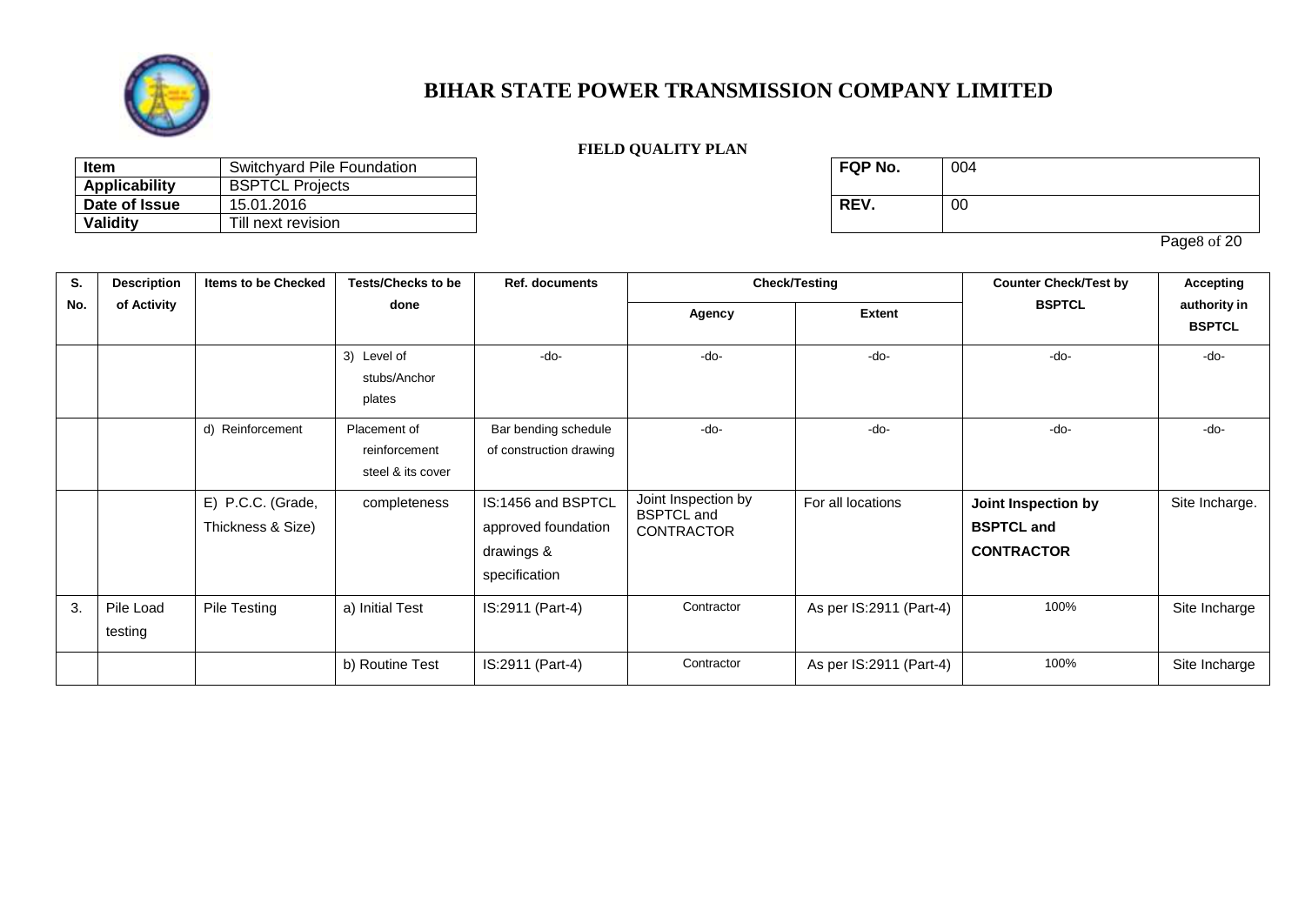

### **FIELD QUALITY PLAN**

| <b>Item</b>          | Switchyard Pile Foundation | <b>FQP No.</b> | 004 |
|----------------------|----------------------------|----------------|-----|
| <b>Applicability</b> | <b>BSPTCL Projects</b>     |                |     |
| Date of Issue        | 15.01.2016                 | <b>REV.</b>    | -00 |
| Validity             | Till next revision         |                |     |

| FQP No. | 004 |
|---------|-----|
| REV.    | OΟ  |

Page8 of 20

| S.  | <b>Description</b>   | <b>Items to be Checked</b>             | <b>Tests/Checks to be</b>                          | <b>Ref. documents</b>                                                    |                                                               | <b>Check/Testing</b>    | <b>Counter Check/Test by</b>                                  | <b>Accepting</b>              |
|-----|----------------------|----------------------------------------|----------------------------------------------------|--------------------------------------------------------------------------|---------------------------------------------------------------|-------------------------|---------------------------------------------------------------|-------------------------------|
| No. | of Activity          |                                        | done                                               |                                                                          | Agency                                                        | <b>Extent</b>           | <b>BSPTCL</b>                                                 | authority in<br><b>BSPTCL</b> |
|     |                      |                                        | 3) Level of<br>stubs/Anchor<br>plates              | $-do-$                                                                   | -do-                                                          | $-do-$                  | -do-                                                          | -do-                          |
|     |                      | d) Reinforcement                       | Placement of<br>reinforcement<br>steel & its cover | Bar bending schedule<br>of construction drawing                          | -do-                                                          | $-do-$                  | -do-                                                          | -do-                          |
|     |                      | E) P.C.C. (Grade,<br>Thickness & Size) | completeness                                       | IS:1456 and BSPTCL<br>approved foundation<br>drawings &<br>specification | Joint Inspection by<br><b>BSPTCL and</b><br><b>CONTRACTOR</b> | For all locations       | Joint Inspection by<br><b>BSPTCL and</b><br><b>CONTRACTOR</b> | Site Incharge.                |
| 3.  | Pile Load<br>testing | Pile Testing                           | a) Initial Test                                    | IS:2911 (Part-4)                                                         | Contractor                                                    | As per IS:2911 (Part-4) | 100%                                                          | Site Incharge                 |
|     |                      |                                        | b) Routine Test                                    | IS:2911 (Part-4)                                                         | Contractor                                                    | As per IS:2911 (Part-4) | 100%                                                          | Site Incharge                 |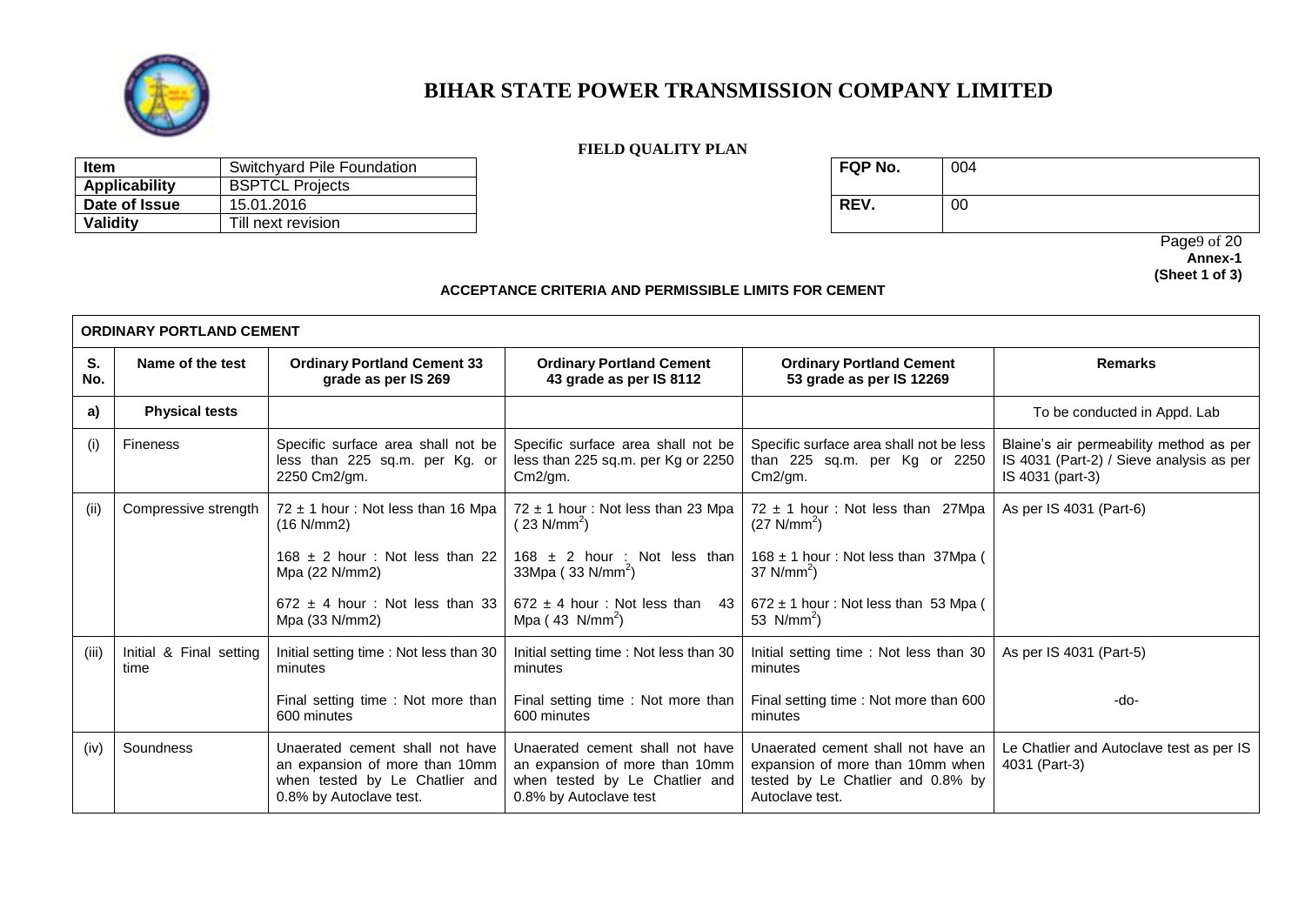

#### **FIELD QUALITY PLAN**

| <b>Item</b>   | Switchyard Pile Foundation | <b>FQP No.</b> | 004 |
|---------------|----------------------------|----------------|-----|
| Applicability | <b>BSPTCL Projects</b>     |                |     |
| Date of Issue | 15.01.2016                 | REV.           | -00 |
| Validity      | Till next revision         |                |     |

| FQP No. | 004 |
|---------|-----|
| REV.    | 00  |

 Page9 of 20 **Annex-1 (Sheet 1 of 3)**

#### **ACCEPTANCE CRITERIA AND PERMISSIBLE LIMITS FOR CEMENT**

|           | <b>ORDINARY PORTLAND CEMENT</b> |                                                                                                                                |                                                                                                                               |                                                                                                                                |                                                                                                         |  |  |  |
|-----------|---------------------------------|--------------------------------------------------------------------------------------------------------------------------------|-------------------------------------------------------------------------------------------------------------------------------|--------------------------------------------------------------------------------------------------------------------------------|---------------------------------------------------------------------------------------------------------|--|--|--|
| S.<br>No. | Name of the test                | <b>Ordinary Portland Cement 33</b><br>grade as per IS 269                                                                      | <b>Ordinary Portland Cement</b><br>43 grade as per IS 8112                                                                    | <b>Ordinary Portland Cement</b><br>53 grade as per IS 12269                                                                    | <b>Remarks</b>                                                                                          |  |  |  |
| a)        | <b>Physical tests</b>           |                                                                                                                                |                                                                                                                               |                                                                                                                                | To be conducted in Appd. Lab                                                                            |  |  |  |
| (i)       | Fineness                        | Specific surface area shall not be<br>less than 225 sq.m. per Kg. or<br>2250 Cm2/gm.                                           | Specific surface area shall not be<br>less than 225 sq.m. per Kg or 2250<br>Cm2/gm.                                           | Specific surface area shall not be less<br>than 225 sq.m. per Kg or 2250<br>Cm2/gm.                                            | Blaine's air permeability method as per<br>IS 4031 (Part-2) / Sieve analysis as per<br>IS 4031 (part-3) |  |  |  |
| (ii)      | Compressive strength            | $72 \pm 1$ hour: Not less than 16 Mpa<br>(16 N/mm2)                                                                            | $72 \pm 1$ hour: Not less than 23 Mpa<br>(23 N/mm <sup>2</sup> )                                                              | $72 \pm 1$ hour: Not less than 27Mpa<br>$(27 \text{ N/mm}^2)$                                                                  | As per IS 4031 (Part-6)                                                                                 |  |  |  |
|           |                                 | $168 \pm 2$ hour: Not less than 22<br>Mpa (22 N/mm2)                                                                           | $168 \pm 2$ hour : Not less than<br>33Mpa $(33 N/mm2)$                                                                        | 168 $\pm$ 1 hour: Not less than 37Mpa (<br>$37$ N/mm <sup>2</sup> )                                                            |                                                                                                         |  |  |  |
|           |                                 | $672 \pm 4$ hour: Not less than 33<br>Mpa (33 N/mm2)                                                                           | $672 \pm 4$ hour: Not less than<br>-43<br>Mpa (43 $N/mm^2$ )                                                                  | $672 \pm 1$ hour: Not less than 53 Mpa (<br>53 $N/mm^2$ )                                                                      |                                                                                                         |  |  |  |
| (iii)     | Initial & Final setting<br>time | Initial setting time: Not less than 30<br>minutes                                                                              | Initial setting time: Not less than 30<br>minutes                                                                             | Initial setting time: Not less than 30<br>minutes                                                                              | As per IS 4031 (Part-5)                                                                                 |  |  |  |
|           |                                 | Final setting time: Not more than<br>600 minutes                                                                               | Final setting time : Not more than<br>600 minutes                                                                             | Final setting time : Not more than 600<br>minutes                                                                              | -do-                                                                                                    |  |  |  |
| (iv)      | Soundness                       | Unaerated cement shall not have<br>an expansion of more than 10mm<br>when tested by Le Chatlier and<br>0.8% by Autoclave test. | Unaerated cement shall not have<br>an expansion of more than 10mm<br>when tested by Le Chatlier and<br>0.8% by Autoclave test | Unaerated cement shall not have an<br>expansion of more than 10mm when<br>tested by Le Chatlier and 0.8% by<br>Autoclave test. | Le Chatlier and Autoclave test as per IS<br>4031 (Part-3)                                               |  |  |  |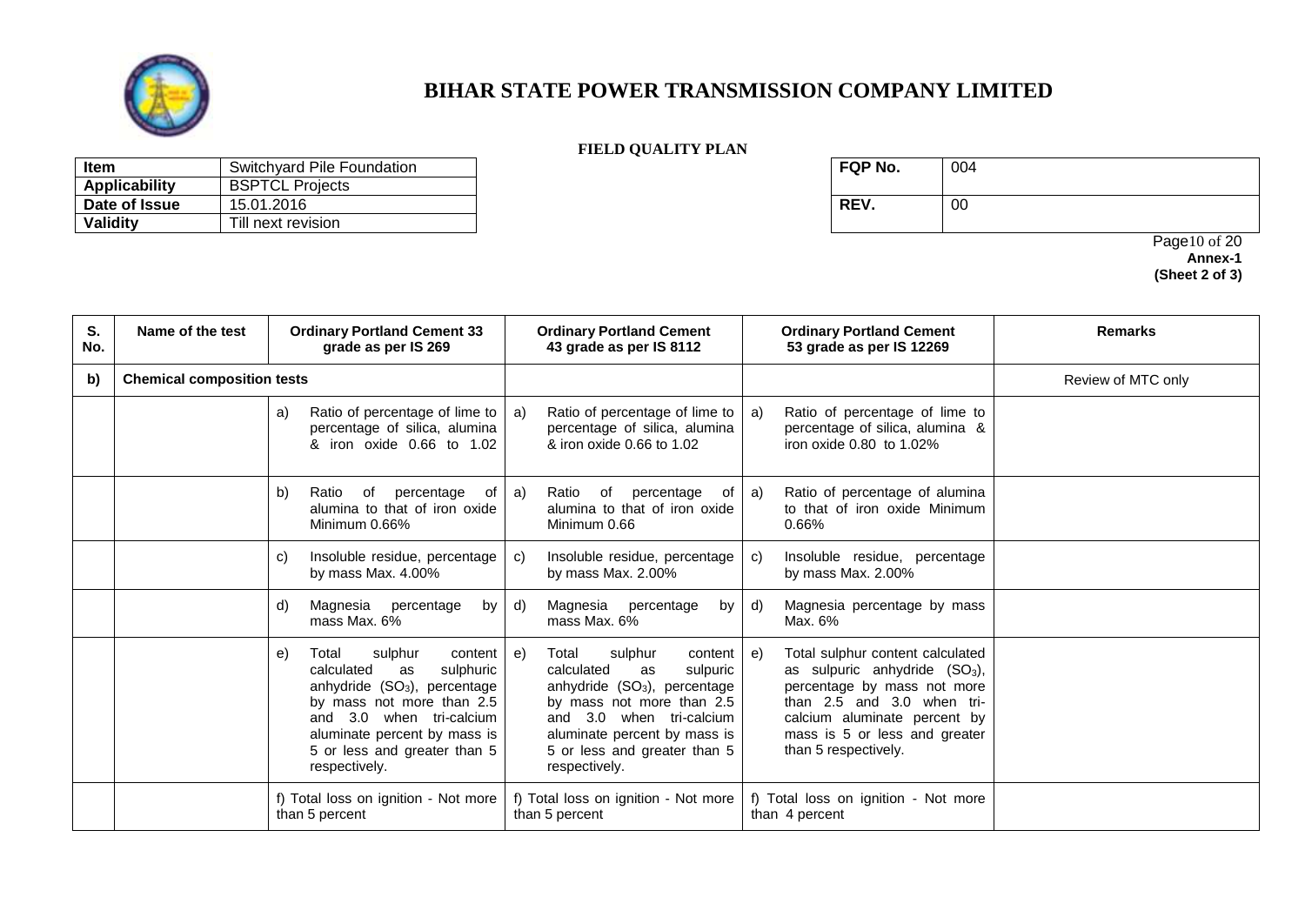

#### **FIELD QUALITY PLAN**

| <b>Item</b><br>Switchyard Pile Foundation |                        | <b>FQP No.</b> | 004 |
|-------------------------------------------|------------------------|----------------|-----|
| Applicability                             | <b>BSPTCL Projects</b> |                |     |
| Date of Issue                             | 15.01.2016             | <b>REV.</b>    | -00 |
| Validity                                  | Till next revision     |                |     |

| FQP No. | 004 |
|---------|-----|
| REV.    | 00  |

Page10 of 20 **Annex-1 (Sheet 2 of 3)**

| S.<br>No. | Name of the test                  | <b>Ordinary Portland Cement 33</b><br>grade as per IS 269                                                                                                                                                                                        | <b>Ordinary Portland Cement</b><br><b>Ordinary Portland Cement</b><br>43 grade as per IS 8112<br>53 grade as per IS 12269                                                                                                                                                                                                                                                                                                                                                                  | <b>Remarks</b>     |
|-----------|-----------------------------------|--------------------------------------------------------------------------------------------------------------------------------------------------------------------------------------------------------------------------------------------------|--------------------------------------------------------------------------------------------------------------------------------------------------------------------------------------------------------------------------------------------------------------------------------------------------------------------------------------------------------------------------------------------------------------------------------------------------------------------------------------------|--------------------|
| b)        | <b>Chemical composition tests</b> |                                                                                                                                                                                                                                                  |                                                                                                                                                                                                                                                                                                                                                                                                                                                                                            | Review of MTC only |
|           |                                   | Ratio of percentage of lime to<br>a)<br>percentage of silica, alumina<br>& iron oxide 0.66 to 1.02                                                                                                                                               | Ratio of percentage of lime to<br>Ratio of percentage of lime to<br>a)<br>a)<br>percentage of silica, alumina<br>percentage of silica, alumina &<br>& iron oxide 0.66 to 1.02<br>iron oxide 0.80 to 1.02%                                                                                                                                                                                                                                                                                  |                    |
|           |                                   | Ratio<br>percentage<br>b)<br>of<br>of<br>alumina to that of iron oxide<br>Minimum 0.66%                                                                                                                                                          | percentage<br>Ratio of percentage of alumina<br>a)<br>Ratio<br>of<br>of<br>a)<br>alumina to that of iron oxide<br>to that of iron oxide Minimum<br>Minimum 0.66<br>0.66%                                                                                                                                                                                                                                                                                                                   |                    |
|           |                                   | Insoluble residue, percentage<br>C)<br>by mass Max. 4.00%                                                                                                                                                                                        | Insoluble residue, percentage<br>Insoluble residue, percentage<br>C)<br>C)<br>by mass Max. 2.00%<br>by mass Max. 2.00%                                                                                                                                                                                                                                                                                                                                                                     |                    |
|           |                                   | Magnesia<br>percentage<br>by I<br>d)<br>mass Max. 6%                                                                                                                                                                                             | Magnesia percentage by mass<br>Magnesia<br>percentage<br>d)<br>by<br>d)<br>mass Max. 6%<br>Max. 6%                                                                                                                                                                                                                                                                                                                                                                                         |                    |
|           |                                   | sulphur<br>content  <br>Total<br>e)<br>calculated<br>sulphuric<br>as<br>anhydride $(SO3)$ , percentage<br>by mass not more than 2.5<br>and 3.0 when tri-calcium<br>aluminate percent by mass is<br>5 or less and greater than 5<br>respectively. | Total sulphur content calculated<br>sulphur<br>content<br>Total<br>e)<br>e)<br>calculated<br>sulpuric<br>as sulpuric anhydride (SO <sub>3</sub> ),<br>as<br>anhydride $(SO3)$ , percentage<br>percentage by mass not more<br>than 2.5 and 3.0 when tri-<br>by mass not more than 2.5<br>and 3.0 when tri-calcium<br>calcium aluminate percent by<br>aluminate percent by mass is<br>mass is 5 or less and greater<br>5 or less and greater than 5<br>than 5 respectively.<br>respectively. |                    |
|           |                                   | f) Total loss on ignition - Not more<br>than 5 percent                                                                                                                                                                                           | f) Total loss on ignition - Not more<br>f) Total loss on ignition - Not more<br>than 5 percent<br>than 4 percent                                                                                                                                                                                                                                                                                                                                                                           |                    |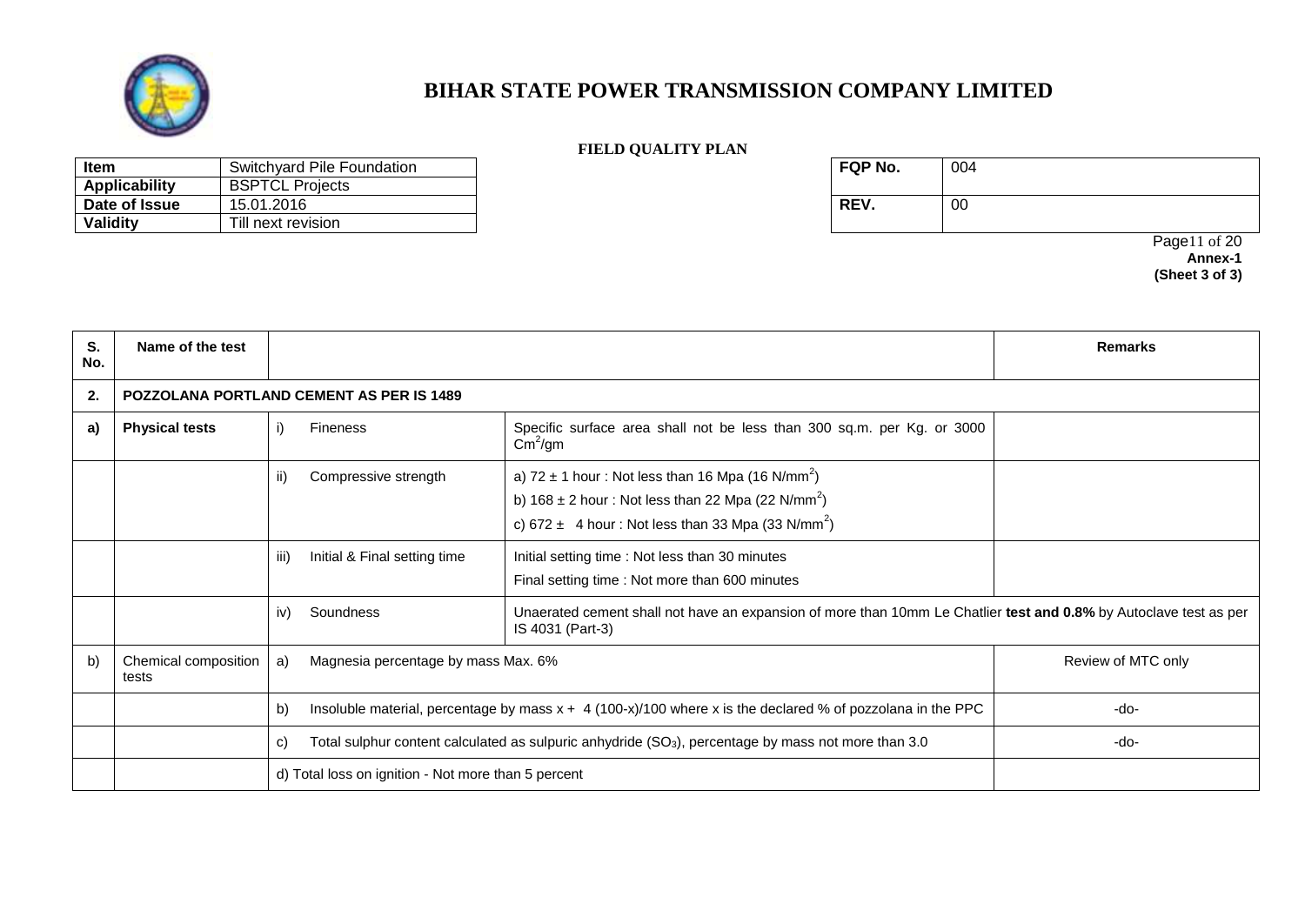

**Date of Issue**<br>Validity

**Item** Switchyard Pile Foundation<br> **Applicability** BSPTCL Projects

**BSPTCL Projects**<br>15.01.2016

**Till next revision** 

# **BIHAR STATE POWER TRANSMISSION COMPANY LIMITED**

#### **FIELD QUALITY PLAN**

| REV.<br>00 |  |
|------------|--|
|            |  |

Page11 of 20 **Annex-1 (Sheet 3 of 3)**

| S.<br>No. | Name of the test              |      |                                                                                                                 | <b>Remarks</b>                                                                                                    |  |
|-----------|-------------------------------|------|-----------------------------------------------------------------------------------------------------------------|-------------------------------------------------------------------------------------------------------------------|--|
| 2.        |                               |      | <b>POZZOLANA PORTLAND CEMENT AS PER IS 1489</b>                                                                 |                                                                                                                   |  |
| a)        | <b>Physical tests</b>         | I)   | <b>Fineness</b>                                                                                                 | Specific surface area shall not be less than 300 sq.m. per Kg. or 3000<br>$\text{Cm}^2/\text{gm}$                 |  |
|           |                               | ii)  | Compressive strength                                                                                            |                                                                                                                   |  |
|           |                               | iii) | Initial & Final setting time                                                                                    |                                                                                                                   |  |
|           |                               | iv)  | Soundness                                                                                                       | Unaerated cement shall not have an expansion of more than 10mm Le Chatlier test and 0.8% by Autoclave test as per |  |
| b)        | Chemical composition<br>tests | a)   | Magnesia percentage by mass Max. 6%                                                                             | Review of MTC only                                                                                                |  |
|           |                               | b)   | Insoluble material, percentage by mass $x + 4$ (100-x)/100 where x is the declared % of pozzolana in the PPC    | -do-                                                                                                              |  |
|           |                               | C)   | Total sulphur content calculated as sulpuric anhydride (SO <sub>3</sub> ), percentage by mass not more than 3.0 | -do-                                                                                                              |  |
|           |                               |      | d) Total loss on ignition - Not more than 5 percent                                                             |                                                                                                                   |  |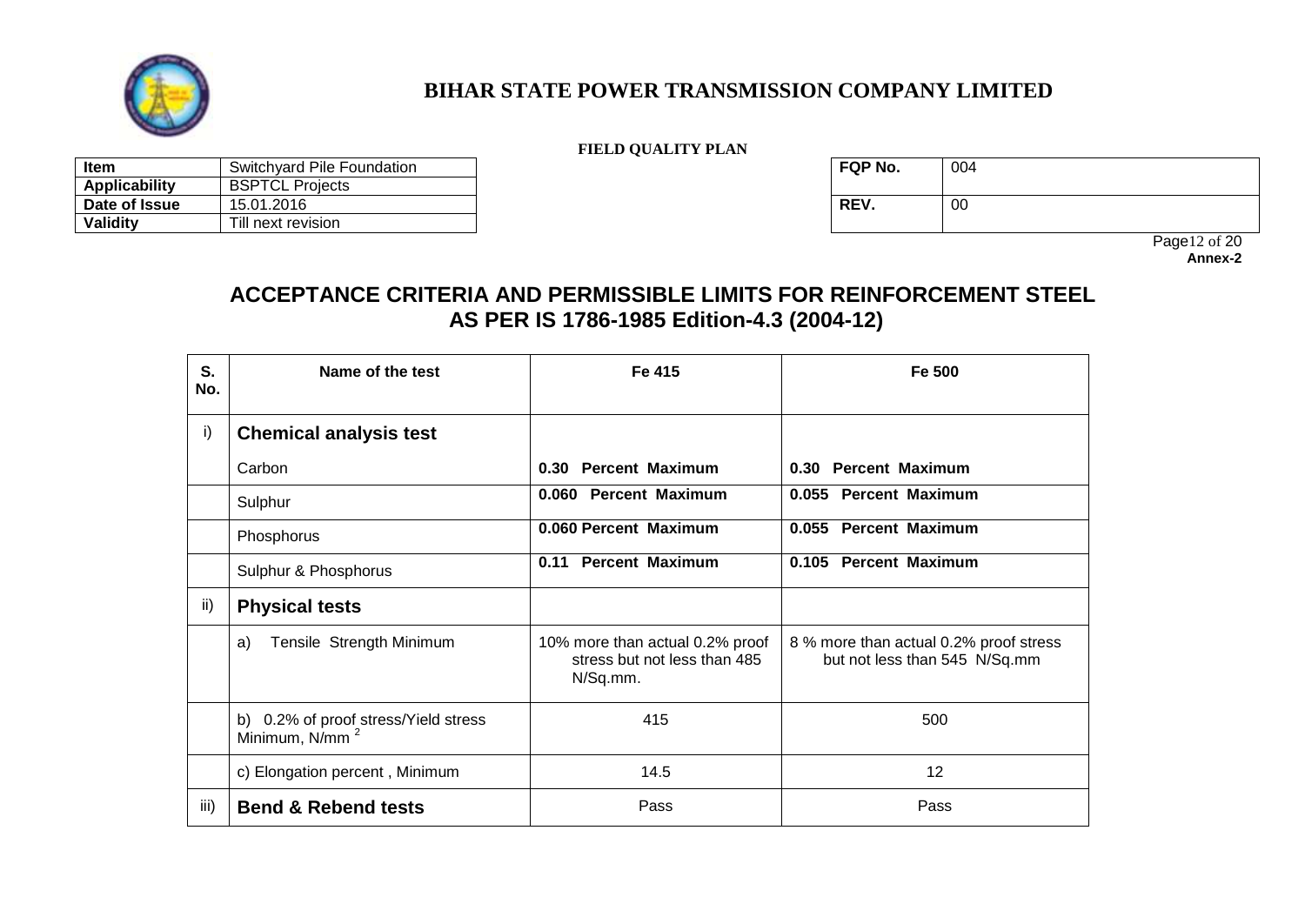

| Switchyard Pile Foundation<br>Item |                        | <b>FQP No.</b> | 004 |
|------------------------------------|------------------------|----------------|-----|
| Applicability                      | <b>BSPTCL Projects</b> |                |     |
| Date of Issue                      | 15.01.2016             | REV.           | 00  |
| <b>Validity</b>                    | Till next revision     |                |     |

| FQP No. | 004 |
|---------|-----|
| REV.    | υu  |

Page12 of 20 **Annex-2**

# **ACCEPTANCE CRITERIA AND PERMISSIBLE LIMITS FOR REINFORCEMENT STEEL AS PER IS 1786-1985 Edition-4.3 (2004-12)**

| S.<br>No. | Name of the test                                                   | Fe 415                                                                      | Fe 500                                                                  |
|-----------|--------------------------------------------------------------------|-----------------------------------------------------------------------------|-------------------------------------------------------------------------|
| i)        | <b>Chemical analysis test</b>                                      |                                                                             |                                                                         |
|           | Carbon                                                             | <b>Percent Maximum</b><br>0.30                                              | 0.30 Percent Maximum                                                    |
|           | Sulphur                                                            | 0.060 Percent Maximum                                                       | 0.055 Percent Maximum                                                   |
|           | Phosphorus                                                         | 0.060 Percent Maximum                                                       | 0.055 Percent Maximum                                                   |
|           | Sulphur & Phosphorus                                               | <b>Percent Maximum</b><br>0.11                                              | 0.105 Percent Maximum                                                   |
| ii)       | <b>Physical tests</b>                                              |                                                                             |                                                                         |
|           | Tensile Strength Minimum<br>a)                                     | 10% more than actual 0.2% proof<br>stress but not less than 485<br>N/Sq.mm. | 8 % more than actual 0.2% proof stress<br>but not less than 545 N/Sq.mm |
|           | b) 0.2% of proof stress/Yield stress<br>Minimum, N/mm <sup>2</sup> | 415                                                                         | 500                                                                     |
|           | c) Elongation percent, Minimum                                     | 14.5                                                                        | 12                                                                      |
| iii)      | <b>Bend &amp; Rebend tests</b>                                     | Pass                                                                        | Pass                                                                    |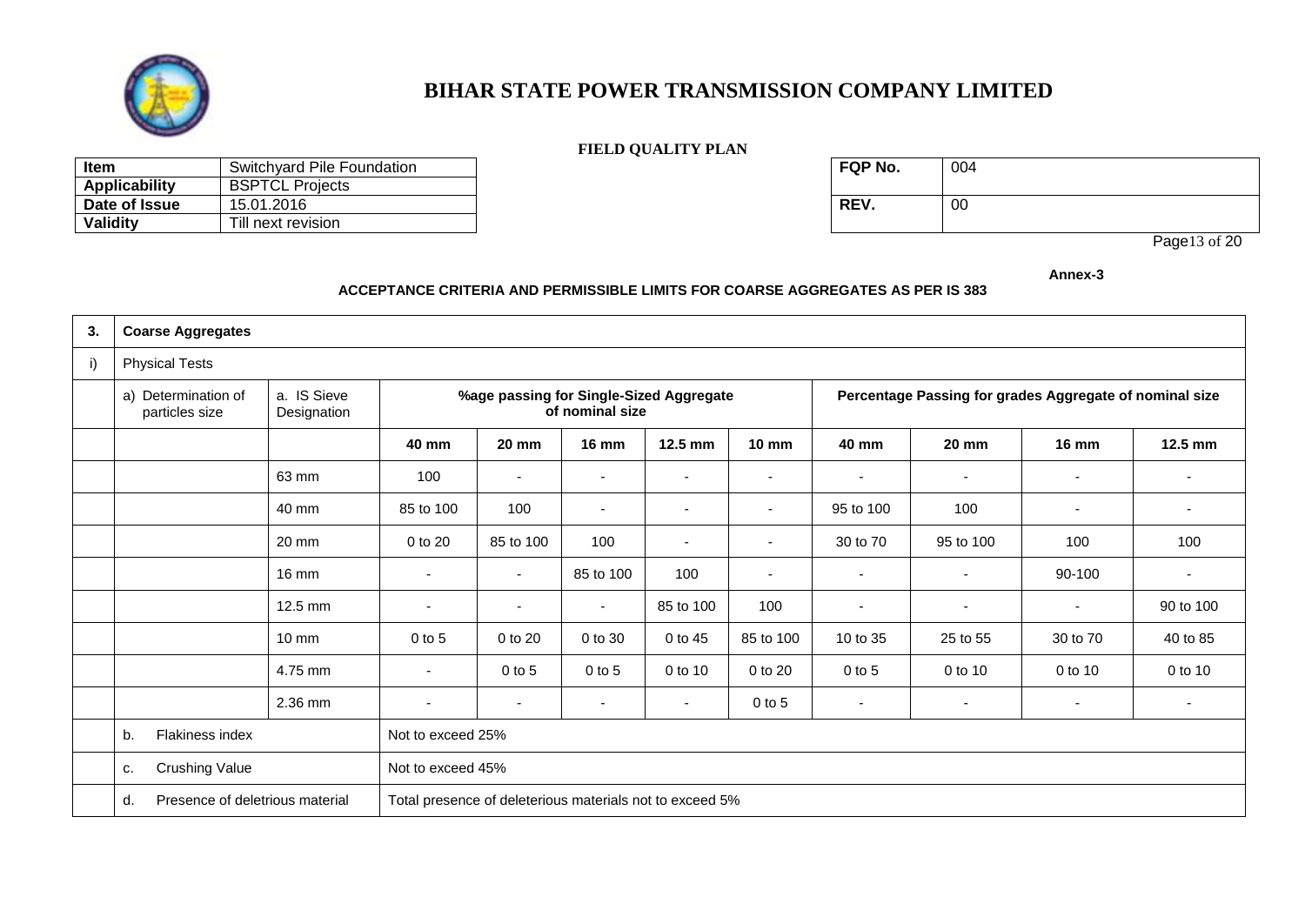

#### **FIELD QUALITY PLAN**

| Switchyard Pile Foundation<br><b>Item</b> |                        | <b>FQP No.</b> | 004 |
|-------------------------------------------|------------------------|----------------|-----|
| <b>Applicability</b>                      | <b>BSPTCL Projects</b> |                |     |
| Date of Issue                             | 15.01.2016             | <b>REV.</b>    | 00  |
| Validity                                  | Till next revision     |                |     |

| FQP No. | 004 |
|---------|-----|
| REV.    | 00  |

Page13 of 20

**Annex-3**

#### **ACCEPTANCE CRITERIA AND PERMISSIBLE LIMITS FOR COARSE AGGREGATES AS PER IS 383**

| 3. | <b>Coarse Aggregates</b>                                            |                            |                                                            |                          |                |                                                         |                          |                          |                |                          |                |
|----|---------------------------------------------------------------------|----------------------------|------------------------------------------------------------|--------------------------|----------------|---------------------------------------------------------|--------------------------|--------------------------|----------------|--------------------------|----------------|
| i) | <b>Physical Tests</b>                                               |                            |                                                            |                          |                |                                                         |                          |                          |                |                          |                |
|    | a) Determination of<br>particles size                               | a. IS Sieve<br>Designation | %age passing for Single-Sized Aggregate<br>of nominal size |                          |                | Percentage Passing for grades Aggregate of nominal size |                          |                          |                |                          |                |
|    |                                                                     |                            | 40 mm                                                      | <b>20 mm</b>             | <b>16 mm</b>   | $12.5$ mm                                               | <b>10 mm</b>             | 40 mm                    | <b>20 mm</b>   | <b>16 mm</b>             | $12.5$ mm      |
|    |                                                                     | 63 mm                      | 100                                                        | $\overline{\phantom{a}}$ |                |                                                         | $\overline{\phantom{a}}$ | $\overline{\phantom{a}}$ |                |                          |                |
|    | 40 mm                                                               |                            | 85 to 100                                                  | 100                      |                | ٠                                                       | ٠                        | 95 to 100                | 100            | ٠                        |                |
|    |                                                                     | 20 mm                      | 0 to 20                                                    | 85 to 100                | 100            | $\overline{\phantom{a}}$                                | $\overline{\phantom{a}}$ | 30 to 70                 | 95 to 100      | 100                      | 100            |
|    | $16 \text{ mm}$<br>12.5 mm<br>$10 \text{ mm}$<br>4.75 mm<br>2.36 mm |                            | $\overline{\phantom{a}}$                                   | $\sim$                   | 85 to 100      | 100                                                     | $\overline{\phantom{a}}$ | $\overline{\phantom{a}}$ | $\sim$         | 90-100                   | $\blacksquare$ |
|    |                                                                     |                            | $\overline{\phantom{a}}$                                   | $\overline{\phantom{a}}$ | $\blacksquare$ | 85 to 100                                               | 100                      | $\overline{\phantom{a}}$ | $\blacksquare$ | $\blacksquare$           | 90 to 100      |
|    |                                                                     |                            | $0$ to 5                                                   | 0 to 20                  | 0 to 30        | 0 to 45                                                 | 85 to 100                | 10 to 35                 | 25 to 55       | 30 to 70                 | 40 to 85       |
|    |                                                                     |                            | $\overline{\phantom{a}}$                                   | $0$ to $5$               | $0$ to $5$     | 0 to 10                                                 | 0 to 20                  | $0$ to 5                 | 0 to 10        | 0 to 10                  | 0 to 10        |
|    |                                                                     |                            | $\overline{\phantom{a}}$                                   | $\overline{\phantom{a}}$ |                | $\blacksquare$                                          | $0$ to 5                 | $\overline{\phantom{a}}$ |                | $\overline{\phantom{a}}$ |                |
|    | Flakiness index<br>b.                                               |                            | Not to exceed 25%                                          |                          |                |                                                         |                          |                          |                |                          |                |
|    | <b>Crushing Value</b><br>C.                                         |                            | Not to exceed 45%                                          |                          |                |                                                         |                          |                          |                |                          |                |
|    | Presence of deletrious material<br>d.                               |                            | Total presence of deleterious materials not to exceed 5%   |                          |                |                                                         |                          |                          |                |                          |                |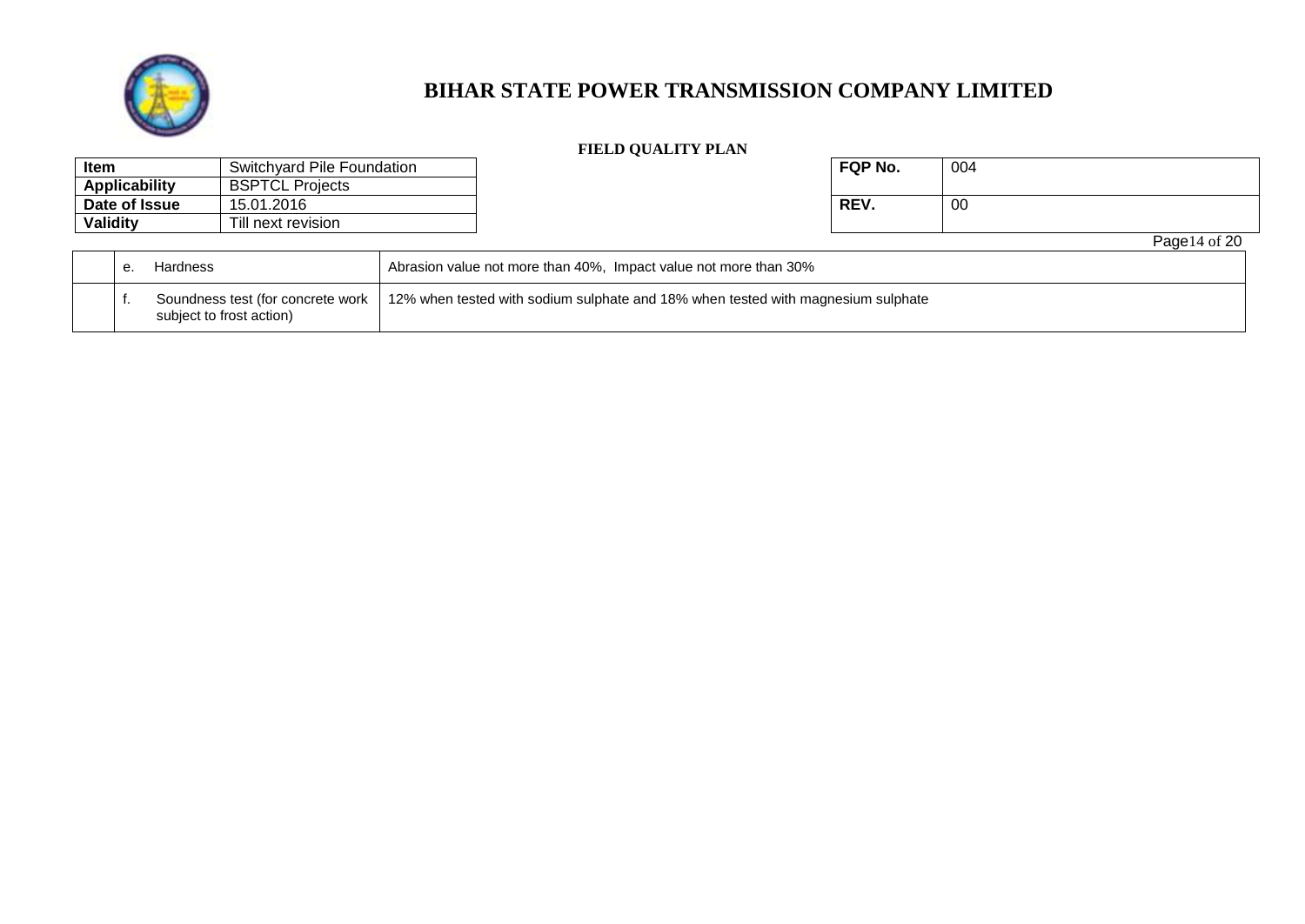

| Item                 | Switchyard Pile Foundation | <b>FQP No.</b> | 004 |
|----------------------|----------------------------|----------------|-----|
| <b>Applicability</b> | <b>BSPTCL Projects</b>     |                |     |
| Date of Issue        | 15.01.2016                 | <b>REV.</b>    | -00 |
| Validity             | Till next revision         |                |     |

| FQP No. | 004 |              |
|---------|-----|--------------|
| REV.    |     |              |
|         |     | Page14 of 20 |

|  | Hardness                                                        | Abrasion value not more than 40%, Impact value not more than 30%                 |
|--|-----------------------------------------------------------------|----------------------------------------------------------------------------------|
|  | Soundness test (for concrete work )<br>subject to frost action) | 12% when tested with sodium sulphate and 18% when tested with magnesium sulphate |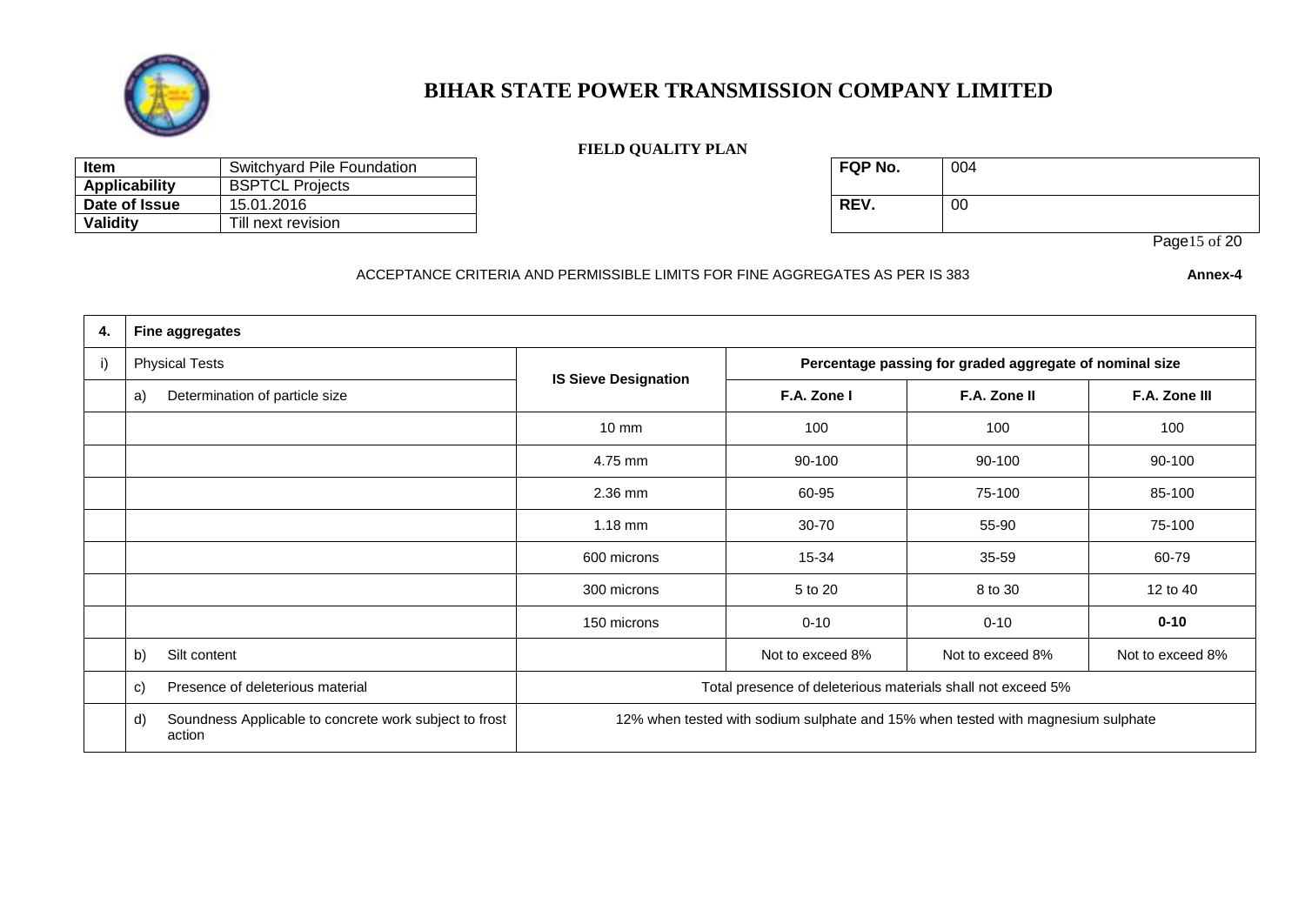

#### **FIELD QUALITY PLAN**

| <b>Item</b>          | Switchyard Pile Foundation | <b>FQP No.</b> | 004 |
|----------------------|----------------------------|----------------|-----|
| <b>Applicability</b> | <b>BSPTCL Projects</b>     |                |     |
| Date of Issue        | 15.01.2016                 | <b>REV.</b>    | 00  |
| Validity             | Till next revision         |                |     |

| FQP No. | 004 |
|---------|-----|
| REV.    | 00  |

Page15 of 20

ACCEPTANCE CRITERIA AND PERMISSIBLE LIMITS FOR FINE AGGREGATES AS PER IS 383 **Annex-4** 

| 4. | <b>Fine aggregates</b>                                                 |                                                                                  |                  |                                                         |                  |
|----|------------------------------------------------------------------------|----------------------------------------------------------------------------------|------------------|---------------------------------------------------------|------------------|
| i) | <b>Physical Tests</b>                                                  |                                                                                  |                  | Percentage passing for graded aggregate of nominal size |                  |
|    | Determination of particle size<br>a)                                   | <b>IS Sieve Designation</b>                                                      | F.A. Zone I      | F.A. Zone II                                            | F.A. Zone III    |
|    |                                                                        | $10 \text{ mm}$                                                                  | 100              | 100                                                     | 100              |
|    |                                                                        | 4.75 mm                                                                          | 90-100           | 90-100                                                  | 90-100           |
|    |                                                                        | 2.36 mm                                                                          | 60-95            | 75-100                                                  | 85-100           |
|    |                                                                        | $1.18$ mm                                                                        | 30-70            | 55-90                                                   | 75-100           |
|    |                                                                        | 600 microns                                                                      | 15-34            | 35-59                                                   | 60-79            |
|    |                                                                        | 300 microns                                                                      | 5 to 20          | 8 to 30                                                 | 12 to 40         |
|    |                                                                        | 150 microns                                                                      | $0 - 10$         | $0 - 10$                                                | $0 - 10$         |
|    | b)<br>Silt content                                                     |                                                                                  | Not to exceed 8% | Not to exceed 8%                                        | Not to exceed 8% |
|    | Presence of deleterious material<br>C)                                 | Total presence of deleterious materials shall not exceed 5%                      |                  |                                                         |                  |
|    | d)<br>Soundness Applicable to concrete work subject to frost<br>action | 12% when tested with sodium sulphate and 15% when tested with magnesium sulphate |                  |                                                         |                  |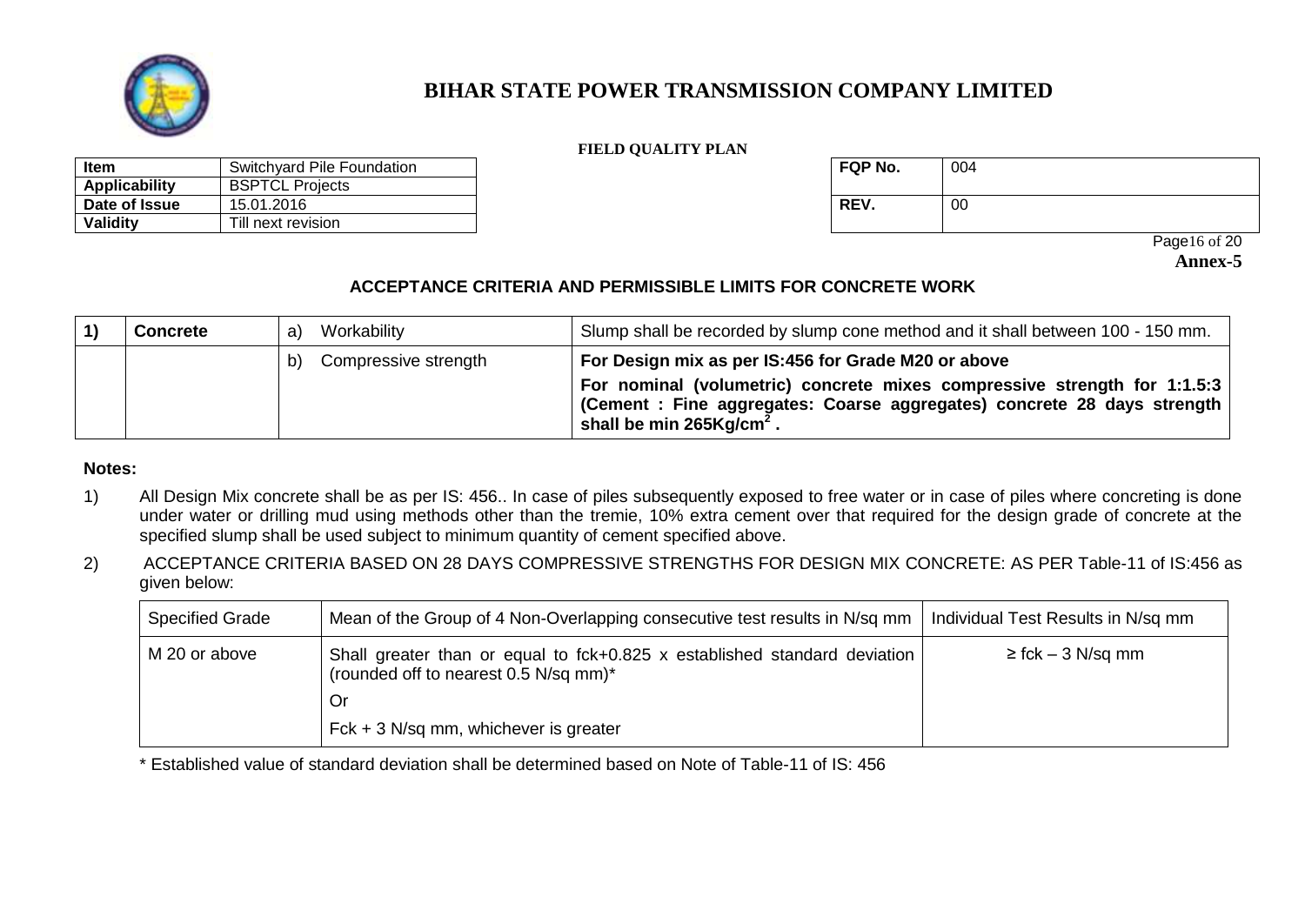

| <b>Item</b>          | Switchyard Pile Foundation | FQP No. | 004 |
|----------------------|----------------------------|---------|-----|
| <b>Applicability</b> | <b>BSPTCL Projects</b>     |         |     |
| Date of Issue        | 15.01.2016                 | REV.    | 00  |
| Validity             | Till next revision         |         |     |

| FQP No. | 004 |
|---------|-----|
| REV.    | 00  |

 Page16 of 20 **Annex-5**

### **ACCEPTANCE CRITERIA AND PERMISSIBLE LIMITS FOR CONCRETE WORK**

| <b>Concrete</b> | Workability<br>a)          | Slump shall be recorded by slump cone method and it shall between 100 - 150 mm.                                                                                                                                                                       |
|-----------------|----------------------------|-------------------------------------------------------------------------------------------------------------------------------------------------------------------------------------------------------------------------------------------------------|
|                 | Compressive strength<br>b) | For Design mix as per IS:456 for Grade M20 or above<br>For nominal (volumetric) concrete mixes compressive strength for 1:1.5:3<br>(Cement : Fine aggregates: Coarse aggregates) concrete 28 days strength<br>shall be min $265$ Kg/cm <sup>2</sup> . |

### **Notes:**

- 1) All Design Mix concrete shall be as per IS: 456.. In case of piles subsequently exposed to free water or in case of piles where concreting is done under water or drilling mud using methods other than the tremie, 10% extra cement over that required for the design grade of concrete at the specified slump shall be used subject to minimum quantity of cement specified above.
- 2) ACCEPTANCE CRITERIA BASED ON 28 DAYS COMPRESSIVE STRENGTHS FOR DESIGN MIX CONCRETE: AS PER Table-11 of IS:456 as given below:

| <b>Specified Grade</b> | Mean of the Group of 4 Non-Overlapping consecutive test results in N/sq mm                                         | Individual Test Results in N/sq mm |
|------------------------|--------------------------------------------------------------------------------------------------------------------|------------------------------------|
| M 20 or above          | Shall greater than or equal to fck+0.825 x established standard deviation<br>(rounded off to nearest 0.5 N/sq mm)* | $\ge$ fck – 3 N/sq mm              |
|                        | Or                                                                                                                 |                                    |
|                        | $Fck + 3 N/sq mm$ , whichever is greater                                                                           |                                    |

\* Established value of standard deviation shall be determined based on Note of Table-11 of IS: 456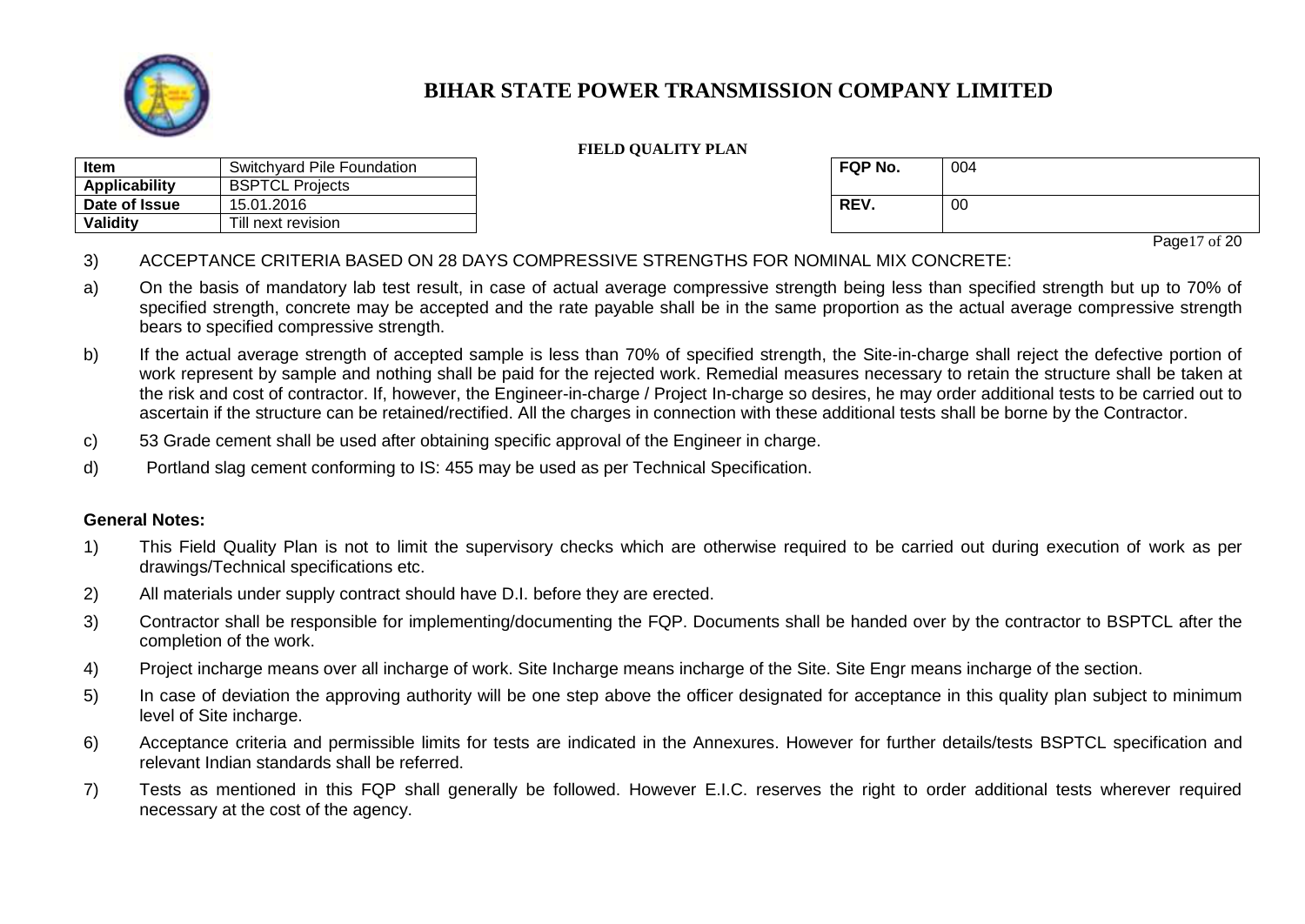

#### **FIELD QUALITY PLAN**

| <b>Item</b>          | Switchvard Pile Foundation | FQP No.     | 004 |
|----------------------|----------------------------|-------------|-----|
| <b>Applicability</b> | <b>BSPTCL Projects</b>     |             |     |
| Date of Issue        | 15.01.2016                 | <b>REV.</b> | 00  |
| Validity             | Till next revision         |             |     |

| FQP No. | 004 |
|---------|-----|
| REV.    | 00  |

Page17 of 20

### 3) ACCEPTANCE CRITERIA BASED ON 28 DAYS COMPRESSIVE STRENGTHS FOR NOMINAL MIX CONCRETE:

- a) On the basis of mandatory lab test result, in case of actual average compressive strength being less than specified strength but up to 70% of specified strength, concrete may be accepted and the rate payable shall be in the same proportion as the actual average compressive strength bears to specified compressive strength.
- b) If the actual average strength of accepted sample is less than 70% of specified strength, the Site-in-charge shall reject the defective portion of work represent by sample and nothing shall be paid for the rejected work. Remedial measures necessary to retain the structure shall be taken at the risk and cost of contractor. If, however, the Engineer-in-charge / Project In-charge so desires, he may order additional tests to be carried out to ascertain if the structure can be retained/rectified. All the charges in connection with these additional tests shall be borne by the Contractor.
- c) 53 Grade cement shall be used after obtaining specific approval of the Engineer in charge.
- d) Portland slag cement conforming to IS: 455 may be used as per Technical Specification.

### **General Notes:**

- 1) This Field Quality Plan is not to limit the supervisory checks which are otherwise required to be carried out during execution of work as per drawings/Technical specifications etc.
- 2) All materials under supply contract should have D.I. before they are erected.
- 3) Contractor shall be responsible for implementing/documenting the FQP. Documents shall be handed over by the contractor to BSPTCL after the completion of the work.
- 4) Project incharge means over all incharge of work. Site Incharge means incharge of the Site. Site Engr means incharge of the section.
- 5) In case of deviation the approving authority will be one step above the officer designated for acceptance in this quality plan subject to minimum level of Site incharge.
- 6) Acceptance criteria and permissible limits for tests are indicated in the Annexures. However for further details/tests BSPTCL specification and relevant Indian standards shall be referred.
- 7) Tests as mentioned in this FQP shall generally be followed. However E.I.C. reserves the right to order additional tests wherever required necessary at the cost of the agency.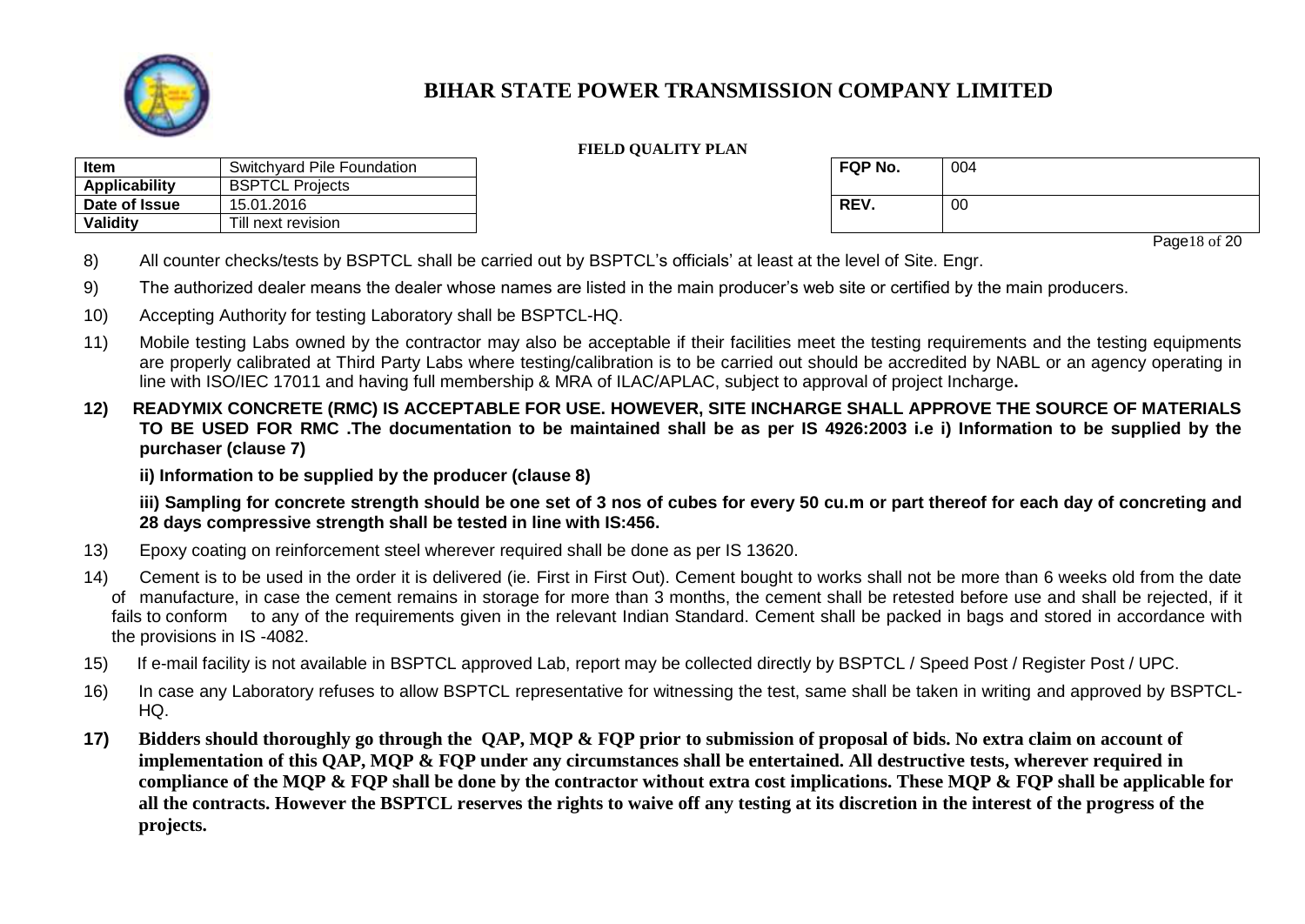

#### **FIELD QUALITY PLAN**

| <b>Item</b><br>Switchyard Pile Foundation |                        | <b>FQP No.</b> | 004 |
|-------------------------------------------|------------------------|----------------|-----|
| Applicability                             | <b>BSPTCL Projects</b> |                |     |
| Date of Issue                             | 15.01.2016             | REV.           | 00  |
| Validity                                  | Till next revision     |                |     |

| FQP No. | 004 |
|---------|-----|
| REV.    | 00  |

Page18 of 20

- 8) All counter checks/tests by BSPTCL shall be carried out by BSPTCL's officials' at least at the level of Site. Engr.
- 9) The authorized dealer means the dealer whose names are listed in the main producer's web site or certified by the main producers.
- 10) Accepting Authority for testing Laboratory shall be BSPTCL-HQ.
- 11) Mobile testing Labs owned by the contractor may also be acceptable if their facilities meet the testing requirements and the testing equipments are properly calibrated at Third Party Labs where testing/calibration is to be carried out should be accredited by NABL or an agency operating in line with ISO/IEC 17011 and having full membership & MRA of ILAC/APLAC, subject to approval of project Incharge**.**
- **12) READYMIX CONCRETE (RMC) IS ACCEPTABLE FOR USE. HOWEVER, SITE INCHARGE SHALL APPROVE THE SOURCE OF MATERIALS TO BE USED FOR RMC .The documentation to be maintained shall be as per IS 4926:2003 i.e i) Information to be supplied by the purchaser (clause 7)**

**ii) Information to be supplied by the producer (clause 8)**

**iii) Sampling for concrete strength should be one set of 3 nos of cubes for every 50 cu.m or part thereof for each day of concreting and 28 days compressive strength shall be tested in line with IS:456.**

- 13) Epoxy coating on reinforcement steel wherever required shall be done as per IS 13620.
- 14) Cement is to be used in the order it is delivered (ie. First in First Out). Cement bought to works shall not be more than 6 weeks old from the date of manufacture, in case the cement remains in storage for more than 3 months, the cement shall be retested before use and shall be rejected, if it fails to conform to any of the requirements given in the relevant Indian Standard. Cement shall be packed in bags and stored in accordance with the provisions in IS -4082.
- 15) If e-mail facility is not available in BSPTCL approved Lab, report may be collected directly by BSPTCL / Speed Post / Register Post / UPC.
- 16) In case any Laboratory refuses to allow BSPTCL representative for witnessing the test, same shall be taken in writing and approved by BSPTCL-HQ.
- **17) Bidders should thoroughly go through the QAP, MQP & FQP prior to submission of proposal of bids. No extra claim on account of implementation of this QAP, MQP & FQP under any circumstances shall be entertained. All destructive tests, wherever required in compliance of the MQP & FQP shall be done by the contractor without extra cost implications. These MQP & FQP shall be applicable for all the contracts. However the BSPTCL reserves the rights to waive off any testing at its discretion in the interest of the progress of the projects.**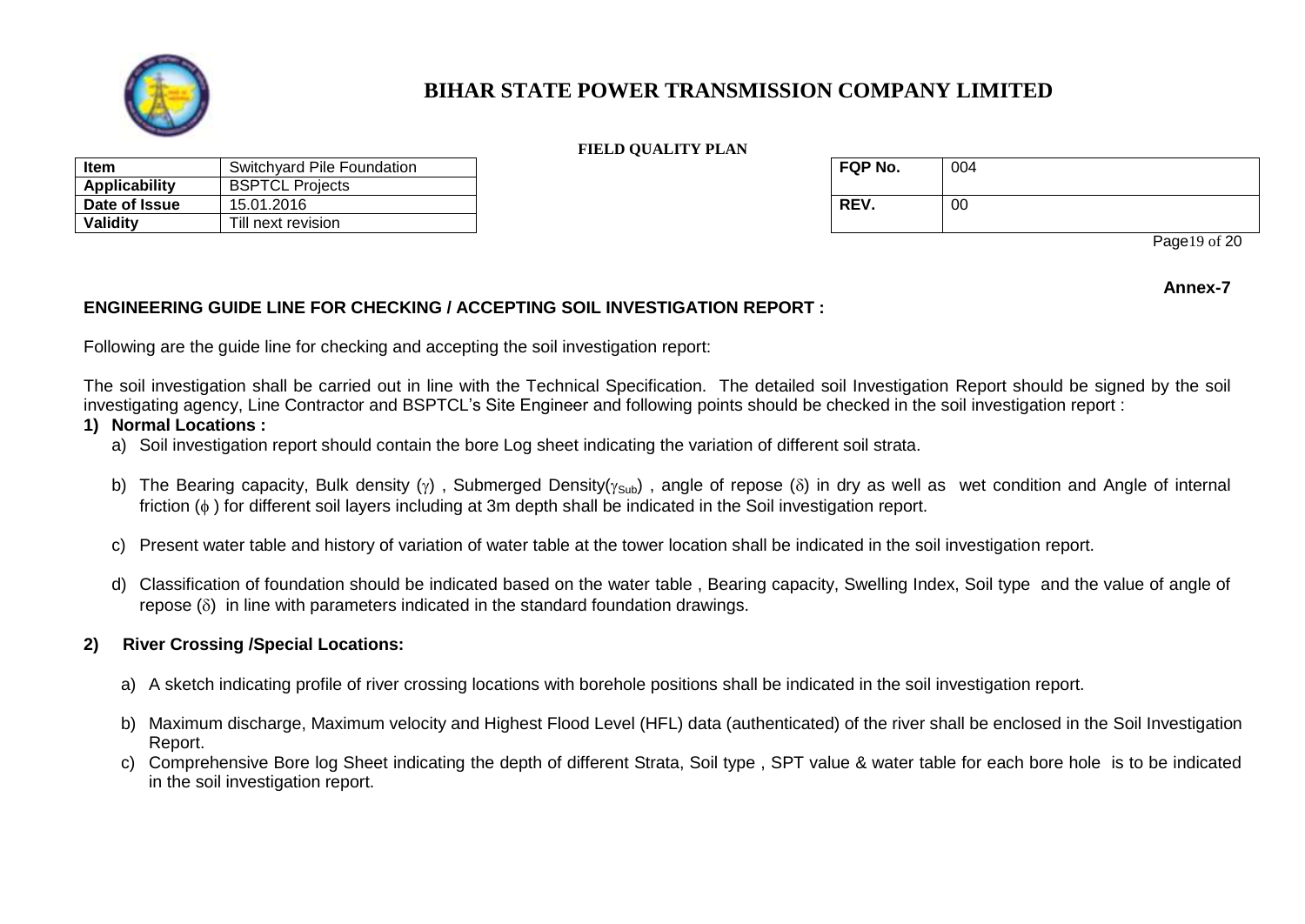

#### **FIELD QUALITY PLAN**

| Switchvard Pile Foundation<br><b>Item</b> |                        | <b>FQP No.</b> | 004 |
|-------------------------------------------|------------------------|----------------|-----|
| Applicability                             | <b>BSPTCL Projects</b> |                |     |
| Date of Issue                             | 15.01.2016             | REV.           | 00  |
| Validity                                  | Till next revision     |                |     |

| FQP No. | 004 |
|---------|-----|
| REV.    | 00  |

Page19 of 20

**Annex-7**

### **ENGINEERING GUIDE LINE FOR CHECKING / ACCEPTING SOIL INVESTIGATION REPORT :**

Following are the guide line for checking and accepting the soil investigation report:

The soil investigation shall be carried out in line with the Technical Specification. The detailed soil Investigation Report should be signed by the soil investigating agency, Line Contractor and BSPTCL's Site Engineer and following points should be checked in the soil investigation report :

- **1) Normal Locations :**
	- a) Soil investigation report should contain the bore Log sheet indicating the variation of different soil strata.
	- b) The Bearing capacity, Bulk density ( $\gamma$ ), Submerged Density( $\gamma_{\rm Sub}$ ), angle of repose ( $\delta$ ) in dry as well as wet condition and Angle of internal friction ( $\phi$ ) for different soil layers including at 3m depth shall be indicated in the Soil investigation report.
	- c) Present water table and history of variation of water table at the tower location shall be indicated in the soil investigation report.
	- d) Classification of foundation should be indicated based on the water table , Bearing capacity, Swelling Index, Soil type and the value of angle of repose  $(\delta)$  in line with parameters indicated in the standard foundation drawings.

### **2) River Crossing /Special Locations:**

- a) A sketch indicating profile of river crossing locations with borehole positions shall be indicated in the soil investigation report.
- b) Maximum discharge, Maximum velocity and Highest Flood Level (HFL) data (authenticated) of the river shall be enclosed in the Soil Investigation Report.
- c) Comprehensive Bore log Sheet indicating the depth of different Strata, Soil type , SPT value & water table for each bore hole is to be indicated in the soil investigation report.